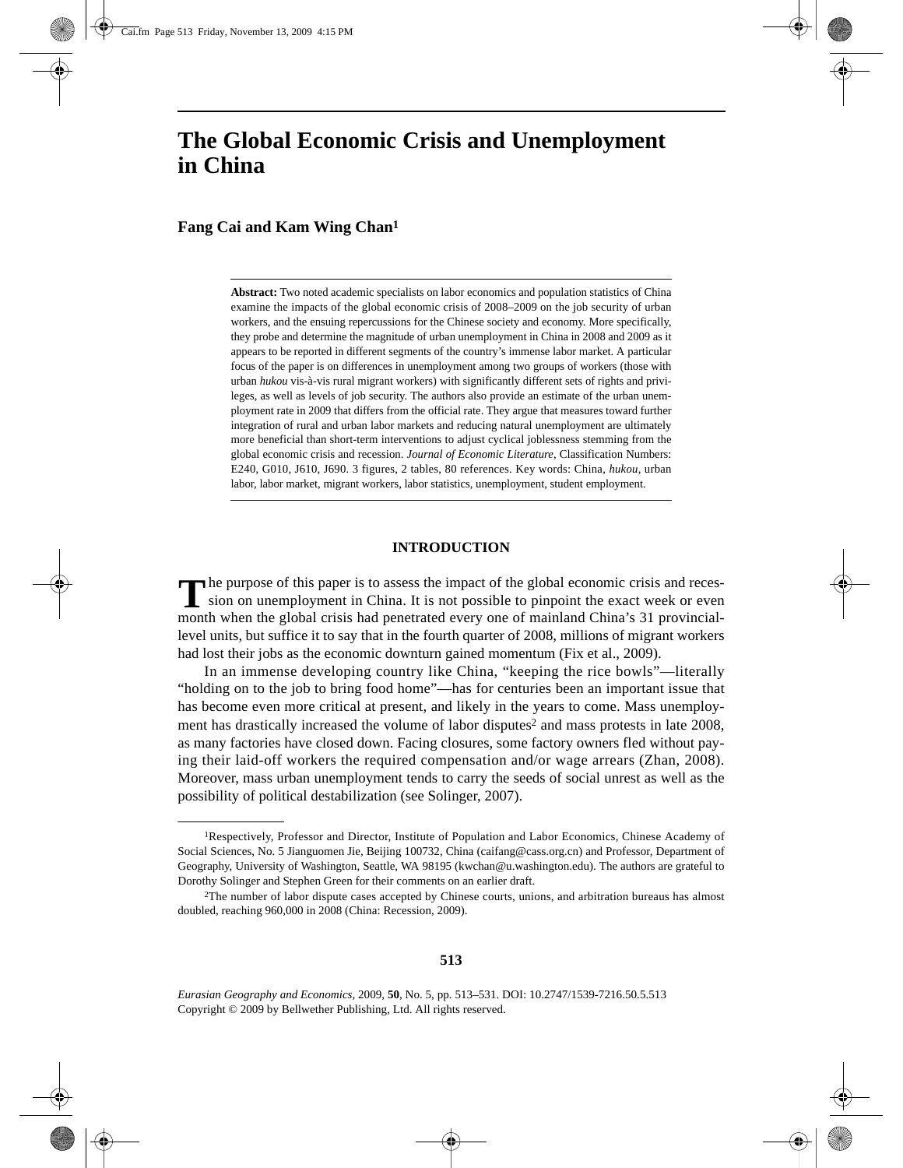# **The Global Economic Crisis and Unemployment in China**

**Fang Cai and Kam Wing Chan1**

**Abstract:** Two noted academic specialists on labor economics and population statistics of China examine the impacts of the global economic crisis of 2008–2009 on the job security of urban workers, and the ensuing repercussions for the Chinese society and economy. More specifically, they probe and determine the magnitude of urban unemployment in China in 2008 and 2009 as it appears to be reported in different segments of the country's immense labor market. A particular focus of the paper is on differences in unemployment among two groups of workers (those with urban *hukou* vis-à-vis rural migrant workers) with significantly different sets of rights and privileges, as well as levels of job security. The authors also provide an estimate of the urban unemployment rate in 2009 that differs from the official rate. They argue that measures toward further integration of rural and urban labor markets and reducing natural unemployment are ultimately more beneficial than short-term interventions to adjust cyclical joblessness stemming from the global economic crisis and recession. *Journal of Economic Literature*, Classification Numbers: E240, G010, J610, J690. 3 figures, 2 tables, 80 references. Key words: China, *hukou*, urban labor, labor market, migrant workers, labor statistics, unemployment, student employment.

# **INTRODUCTION**

The purpose of this paper is to assess the impact of the global economic crisis and recession on unemployment in China. It is not possible to pinpoint the exact week or even sion on unemployment in China. It is not possible to pinpoint the exact week or even month when the global crisis had penetrated every one of mainland China's 31 provinciallevel units, but suffice it to say that in the fourth quarter of 2008, millions of migrant workers had lost their jobs as the economic downturn gained momentum (Fix et al., 2009).

In an immense developing country like China, "keeping the rice bowls"—literally "holding on to the job to bring food home"—has for centuries been an important issue that has become even more critical at present, and likely in the years to come. Mass unemployment has drastically increased the volume of labor disputes<sup>2</sup> and mass protests in late  $2008$ , as many factories have closed down. Facing closures, some factory owners fled without paying their laid-off workers the required compensation and/or wage arrears (Zhan, 2008). Moreover, mass urban unemployment tends to carry the seeds of social unrest as well as the possibility of political destabilization (see Solinger, 2007).

<sup>1</sup>Respectively, Professor and Director, Institute of Population and Labor Economics, Chinese Academy of Social Sciences, No. 5 Jianguomen Jie, Beijing 100732, China (caifang@cass.org.cn) and Professor, Department of Geography, University of Washington, Seattle, WA 98195 (kwchan@u.washington.edu). The authors are grateful to Dorothy Solinger and Stephen Green for their comments on an earlier draft.

<sup>2</sup>The number of labor dispute cases accepted by Chinese courts, unions, and arbitration bureaus has almost doubled, reaching 960,000 in 2008 (China: Recession, 2009).

*Eurasian Geography and Economics*, 2009, **50**, No. 5, pp. 513–531. DOI: 10.2747/1539-7216.50.5.513 Copyright © 2009 by Bellwether Publishing, Ltd. All rights reserved.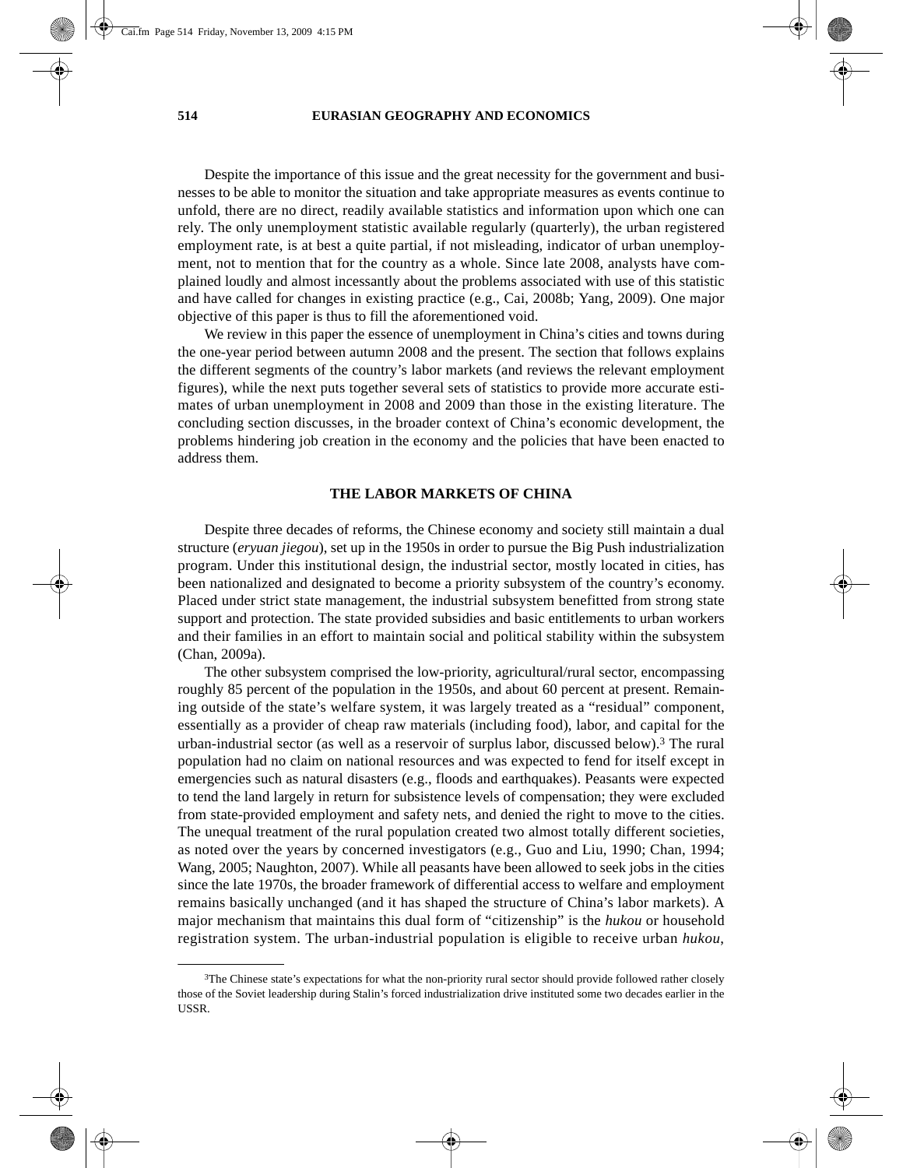Despite the importance of this issue and the great necessity for the government and businesses to be able to monitor the situation and take appropriate measures as events continue to unfold, there are no direct, readily available statistics and information upon which one can rely. The only unemployment statistic available regularly (quarterly), the urban registered employment rate, is at best a quite partial, if not misleading, indicator of urban unemployment, not to mention that for the country as a whole. Since late 2008, analysts have complained loudly and almost incessantly about the problems associated with use of this statistic and have called for changes in existing practice (e.g., Cai, 2008b; Yang, 2009). One major objective of this paper is thus to fill the aforementioned void.

We review in this paper the essence of unemployment in China's cities and towns during the one-year period between autumn 2008 and the present. The section that follows explains the different segments of the country's labor markets (and reviews the relevant employment figures), while the next puts together several sets of statistics to provide more accurate estimates of urban unemployment in 2008 and 2009 than those in the existing literature. The concluding section discusses, in the broader context of China's economic development, the problems hindering job creation in the economy and the policies that have been enacted to address them.

## **THE LABOR MARKETS OF CHINA**

Despite three decades of reforms, the Chinese economy and society still maintain a dual structure (*eryuan jiegou*), set up in the 1950s in order to pursue the Big Push industrialization program. Under this institutional design, the industrial sector, mostly located in cities, has been nationalized and designated to become a priority subsystem of the country's economy. Placed under strict state management, the industrial subsystem benefitted from strong state support and protection. The state provided subsidies and basic entitlements to urban workers and their families in an effort to maintain social and political stability within the subsystem (Chan, 2009a).

The other subsystem comprised the low-priority, agricultural/rural sector, encompassing roughly 85 percent of the population in the 1950s, and about 60 percent at present. Remaining outside of the state's welfare system, it was largely treated as a "residual" component, essentially as a provider of cheap raw materials (including food), labor, and capital for the urban-industrial sector (as well as a reservoir of surplus labor, discussed below).3 The rural population had no claim on national resources and was expected to fend for itself except in emergencies such as natural disasters (e.g., floods and earthquakes). Peasants were expected to tend the land largely in return for subsistence levels of compensation; they were excluded from state-provided employment and safety nets, and denied the right to move to the cities. The unequal treatment of the rural population created two almost totally different societies, as noted over the years by concerned investigators (e.g., Guo and Liu, 1990; Chan, 1994; Wang, 2005; Naughton, 2007). While all peasants have been allowed to seek jobs in the cities since the late 1970s, the broader framework of differential access to welfare and employment remains basically unchanged (and it has shaped the structure of China's labor markets). A major mechanism that maintains this dual form of "citizenship" is the *hukou* or household registration system. The urban-industrial population is eligible to receive urban *hukou*,

<sup>3</sup>The Chinese state's expectations for what the non-priority rural sector should provide followed rather closely those of the Soviet leadership during Stalin's forced industrialization drive instituted some two decades earlier in the USSR.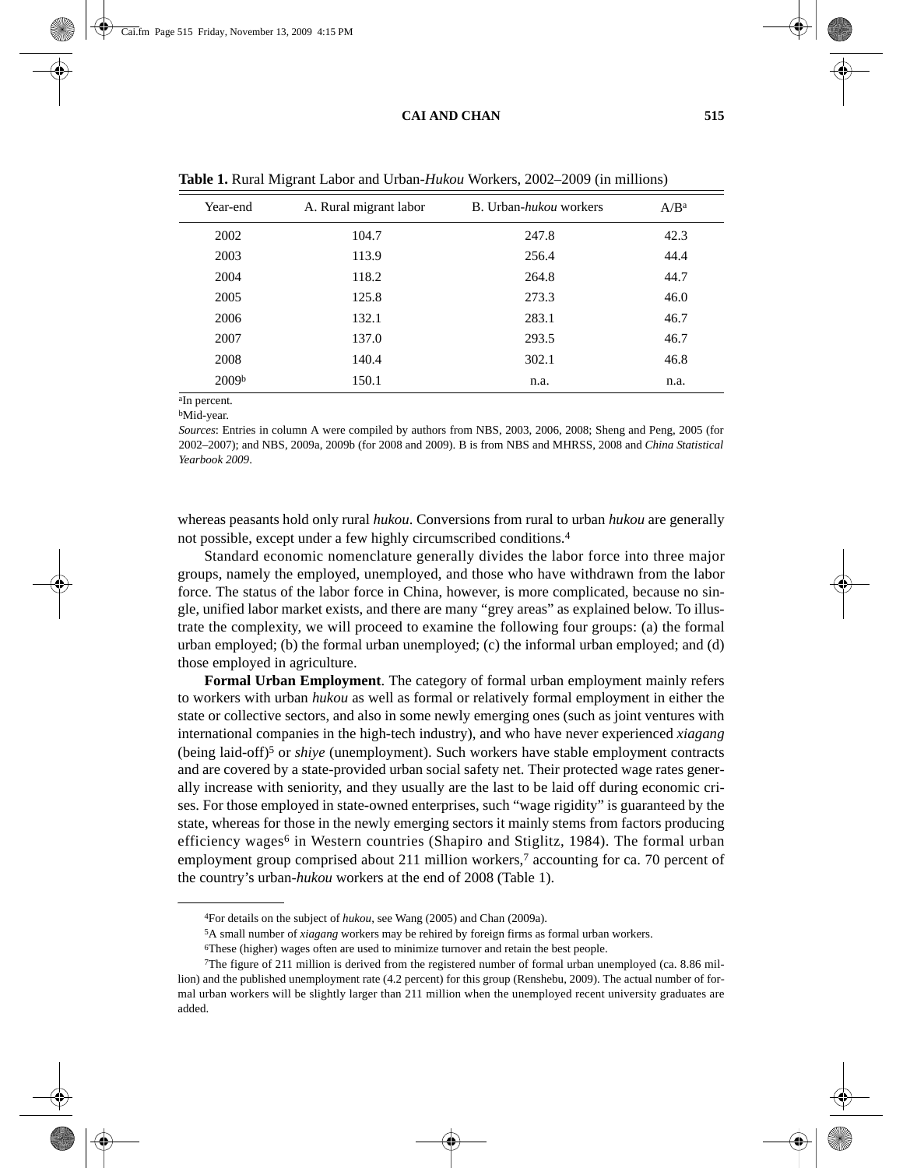| Year-end          | A. Rural migrant labor | B. Urban-hukou workers | A/B <sup>a</sup> |
|-------------------|------------------------|------------------------|------------------|
| 2002              | 104.7                  | 247.8                  | 42.3             |
| 2003              | 113.9                  | 256.4                  | 44.4             |
| 2004              | 118.2                  | 264.8                  | 44.7             |
| 2005              | 125.8                  | 273.3                  | 46.0             |
| 2006              | 132.1                  | 283.1                  | 46.7             |
| 2007              | 137.0                  | 293.5                  | 46.7             |
| 2008              | 140.4                  | 302.1                  | 46.8             |
| 2009 <sup>b</sup> | 150.1                  | n.a.                   | n.a.             |

**Table 1.** Rural Migrant Labor and Urban-*Hukou* Workers, 2002–2009 (in millions)

aIn percent.

bMid-year.

*Sources*: Entries in column A were compiled by authors from NBS, 2003, 2006, 2008; Sheng and Peng, 2005 (for 2002–2007); and NBS, 2009a, 2009b (for 2008 and 2009). B is from NBS and MHRSS, 2008 and *China Statistical Yearbook 2009*.

whereas peasants hold only rural *hukou*. Conversions from rural to urban *hukou* are generally not possible, except under a few highly circumscribed conditions.4

Standard economic nomenclature generally divides the labor force into three major groups, namely the employed, unemployed, and those who have withdrawn from the labor force. The status of the labor force in China, however, is more complicated, because no single, unified labor market exists, and there are many "grey areas" as explained below. To illustrate the complexity, we will proceed to examine the following four groups: (a) the formal urban employed; (b) the formal urban unemployed; (c) the informal urban employed; and (d) those employed in agriculture.

**Formal Urban Employment**. The category of formal urban employment mainly refers to workers with urban *hukou* as well as formal or relatively formal employment in either the state or collective sectors, and also in some newly emerging ones (such as joint ventures with international companies in the high-tech industry), and who have never experienced *xiagang* (being laid-off)5 or *shiye* (unemployment). Such workers have stable employment contracts and are covered by a state-provided urban social safety net. Their protected wage rates generally increase with seniority, and they usually are the last to be laid off during economic crises. For those employed in state-owned enterprises, such "wage rigidity" is guaranteed by the state, whereas for those in the newly emerging sectors it mainly stems from factors producing efficiency wages<sup>6</sup> in Western countries (Shapiro and Stiglitz, 1984). The formal urban employment group comprised about 211 million workers,<sup>7</sup> accounting for ca. 70 percent of the country's urban-*hukou* workers at the end of 2008 (Table 1).

<sup>4</sup>For details on the subject of *hukou*, see Wang (2005) and Chan (2009a).

<sup>5</sup>A small number of *xiagang* workers may be rehired by foreign firms as formal urban workers.

<sup>6</sup>These (higher) wages often are used to minimize turnover and retain the best people.

<sup>7</sup>The figure of 211 million is derived from the registered number of formal urban unemployed (ca. 8.86 million) and the published unemployment rate (4.2 percent) for this group (Renshebu, 2009). The actual number of formal urban workers will be slightly larger than 211 million when the unemployed recent university graduates are added.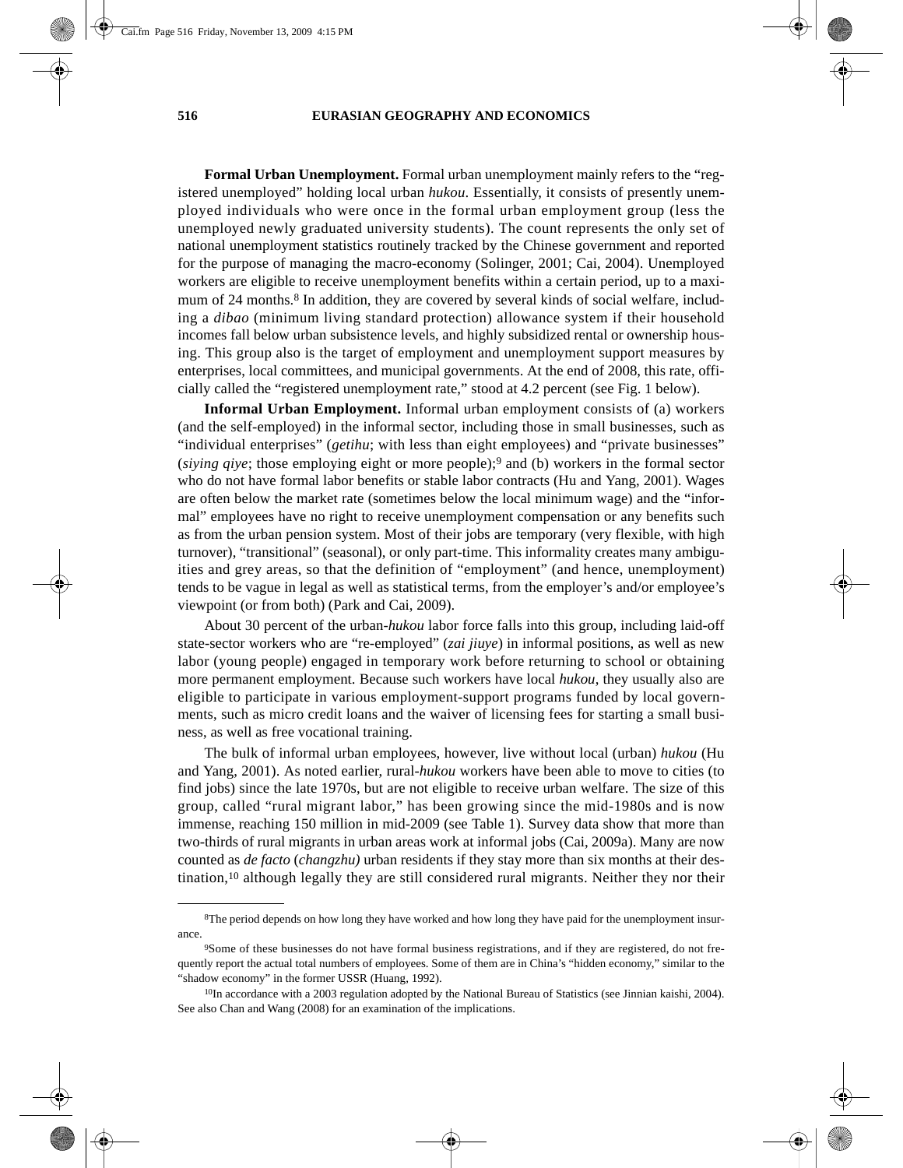**Formal Urban Unemployment.** Formal urban unemployment mainly refers to the "registered unemployed" holding local urban *hukou*. Essentially, it consists of presently unemployed individuals who were once in the formal urban employment group (less the unemployed newly graduated university students). The count represents the only set of national unemployment statistics routinely tracked by the Chinese government and reported for the purpose of managing the macro-economy (Solinger, 2001; Cai, 2004). Unemployed workers are eligible to receive unemployment benefits within a certain period, up to a maximum of 24 months.<sup>8</sup> In addition, they are covered by several kinds of social welfare, including a *dibao* (minimum living standard protection) allowance system if their household incomes fall below urban subsistence levels, and highly subsidized rental or ownership housing. This group also is the target of employment and unemployment support measures by enterprises, local committees, and municipal governments. At the end of 2008, this rate, officially called the "registered unemployment rate," stood at 4.2 percent (see Fig. 1 below).

**Informal Urban Employment.** Informal urban employment consists of (a) workers (and the self-employed) in the informal sector, including those in small businesses, such as "individual enterprises" (*getihu*; with less than eight employees) and "private businesses" (*siying qiye*; those employing eight or more people);9 and (b) workers in the formal sector who do not have formal labor benefits or stable labor contracts (Hu and Yang, 2001). Wages are often below the market rate (sometimes below the local minimum wage) and the "informal" employees have no right to receive unemployment compensation or any benefits such as from the urban pension system. Most of their jobs are temporary (very flexible, with high turnover), "transitional" (seasonal), or only part-time. This informality creates many ambiguities and grey areas, so that the definition of "employment" (and hence, unemployment) tends to be vague in legal as well as statistical terms, from the employer's and/or employee's viewpoint (or from both) (Park and Cai, 2009).

About 30 percent of the urban-*hukou* labor force falls into this group, including laid-off state-sector workers who are "re-employed" (*zai jiuye*) in informal positions, as well as new labor (young people) engaged in temporary work before returning to school or obtaining more permanent employment. Because such workers have local *hukou*, they usually also are eligible to participate in various employment-support programs funded by local governments, such as micro credit loans and the waiver of licensing fees for starting a small business, as well as free vocational training.

The bulk of informal urban employees, however, live without local (urban) *hukou* (Hu and Yang, 2001). As noted earlier, rural-*hukou* workers have been able to move to cities (to find jobs) since the late 1970s, but are not eligible to receive urban welfare. The size of this group, called "rural migrant labor," has been growing since the mid-1980s and is now immense, reaching 150 million in mid-2009 (see Table 1). Survey data show that more than two-thirds of rural migrants in urban areas work at informal jobs (Cai, 2009a). Many are now counted as *de facto* (*changzhu)* urban residents if they stay more than six months at their destination,10 although legally they are still considered rural migrants. Neither they nor their

<sup>8</sup>The period depends on how long they have worked and how long they have paid for the unemployment insurance.

<sup>9</sup>Some of these businesses do not have formal business registrations, and if they are registered, do not frequently report the actual total numbers of employees. Some of them are in China's "hidden economy," similar to the "shadow economy" in the former USSR (Huang, 1992).

<sup>10</sup>In accordance with a 2003 regulation adopted by the National Bureau of Statistics (see Jinnian kaishi, 2004). See also Chan and Wang (2008) for an examination of the implications.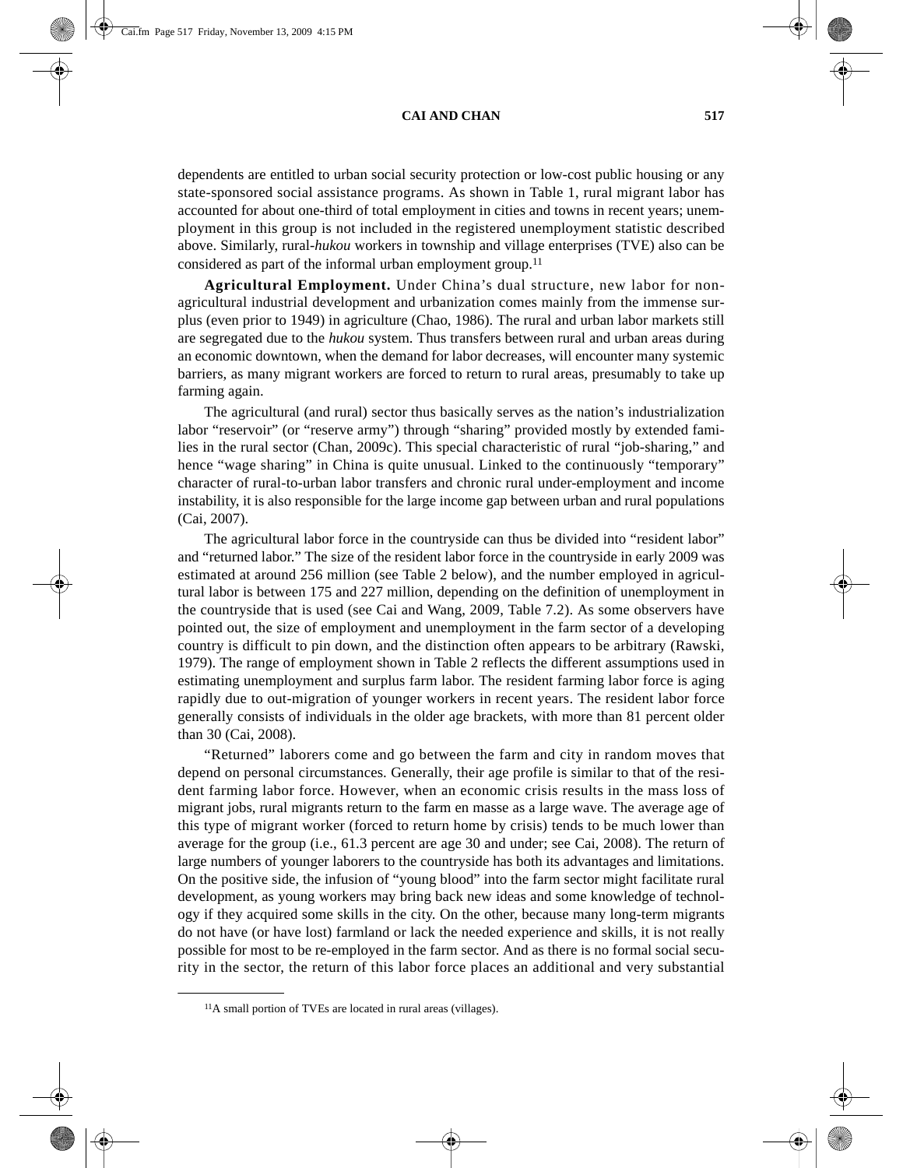dependents are entitled to urban social security protection or low-cost public housing or any state-sponsored social assistance programs. As shown in Table 1, rural migrant labor has accounted for about one-third of total employment in cities and towns in recent years; unemployment in this group is not included in the registered unemployment statistic described above. Similarly, rural-*hukou* workers in township and village enterprises (TVE) also can be considered as part of the informal urban employment group.<sup>11</sup>

**Agricultural Employment.** Under China's dual structure, new labor for nonagricultural industrial development and urbanization comes mainly from the immense surplus (even prior to 1949) in agriculture (Chao, 1986). The rural and urban labor markets still are segregated due to the *hukou* system. Thus transfers between rural and urban areas during an economic downtown, when the demand for labor decreases, will encounter many systemic barriers, as many migrant workers are forced to return to rural areas, presumably to take up farming again.

The agricultural (and rural) sector thus basically serves as the nation's industrialization labor "reservoir" (or "reserve army") through "sharing" provided mostly by extended families in the rural sector (Chan, 2009c). This special characteristic of rural "job-sharing," and hence "wage sharing" in China is quite unusual. Linked to the continuously "temporary" character of rural-to-urban labor transfers and chronic rural under-employment and income instability, it is also responsible for the large income gap between urban and rural populations (Cai, 2007).

The agricultural labor force in the countryside can thus be divided into "resident labor" and "returned labor." The size of the resident labor force in the countryside in early 2009 was estimated at around 256 million (see Table 2 below), and the number employed in agricultural labor is between 175 and 227 million, depending on the definition of unemployment in the countryside that is used (see Cai and Wang, 2009, Table 7.2). As some observers have pointed out, the size of employment and unemployment in the farm sector of a developing country is difficult to pin down, and the distinction often appears to be arbitrary (Rawski, 1979). The range of employment shown in Table 2 reflects the different assumptions used in estimating unemployment and surplus farm labor. The resident farming labor force is aging rapidly due to out-migration of younger workers in recent years. The resident labor force generally consists of individuals in the older age brackets, with more than 81 percent older than 30 (Cai, 2008).

"Returned" laborers come and go between the farm and city in random moves that depend on personal circumstances. Generally, their age profile is similar to that of the resident farming labor force. However, when an economic crisis results in the mass loss of migrant jobs, rural migrants return to the farm en masse as a large wave. The average age of this type of migrant worker (forced to return home by crisis) tends to be much lower than average for the group (i.e., 61.3 percent are age 30 and under; see Cai, 2008). The return of large numbers of younger laborers to the countryside has both its advantages and limitations. On the positive side, the infusion of "young blood" into the farm sector might facilitate rural development, as young workers may bring back new ideas and some knowledge of technology if they acquired some skills in the city. On the other, because many long-term migrants do not have (or have lost) farmland or lack the needed experience and skills, it is not really possible for most to be re-employed in the farm sector. And as there is no formal social security in the sector, the return of this labor force places an additional and very substantial

<sup>11</sup>A small portion of TVEs are located in rural areas (villages).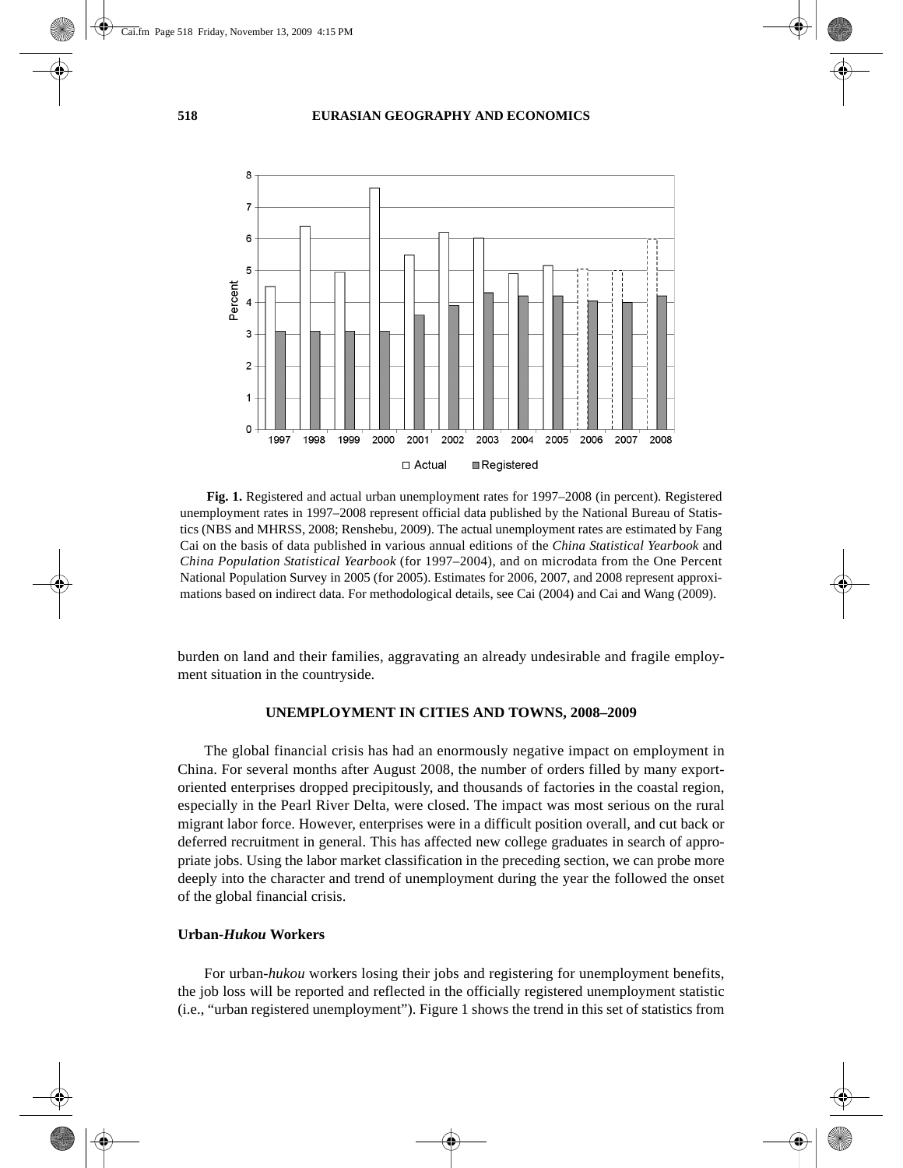

**Fig. 1.** Registered and actual urban unemployment rates for 1997–2008 (in percent). Registered unemployment rates in 1997–2008 represent official data published by the National Bureau of Statistics (NBS and MHRSS, 2008; Renshebu, 2009). The actual unemployment rates are estimated by Fang Cai on the basis of data published in various annual editions of the *China Statistical Yearbook* and *China Population Statistical Yearbook* (for 1997–2004), and on microdata from the One Percent National Population Survey in 2005 (for 2005). Estimates for 2006, 2007, and 2008 represent approximations based on indirect data. For methodological details, see Cai (2004) and Cai and Wang (2009).

burden on land and their families, aggravating an already undesirable and fragile employment situation in the countryside.

#### **UNEMPLOYMENT IN CITIES AND TOWNS, 2008–2009**

The global financial crisis has had an enormously negative impact on employment in China. For several months after August 2008, the number of orders filled by many exportoriented enterprises dropped precipitously, and thousands of factories in the coastal region, especially in the Pearl River Delta, were closed. The impact was most serious on the rural migrant labor force. However, enterprises were in a difficult position overall, and cut back or deferred recruitment in general. This has affected new college graduates in search of appropriate jobs. Using the labor market classification in the preceding section, we can probe more deeply into the character and trend of unemployment during the year the followed the onset of the global financial crisis.

## **Urban-***Hukou* **Workers**

For urban-*hukou* workers losing their jobs and registering for unemployment benefits, the job loss will be reported and reflected in the officially registered unemployment statistic (i.e., "urban registered unemployment"). Figure 1 shows the trend in this set of statistics from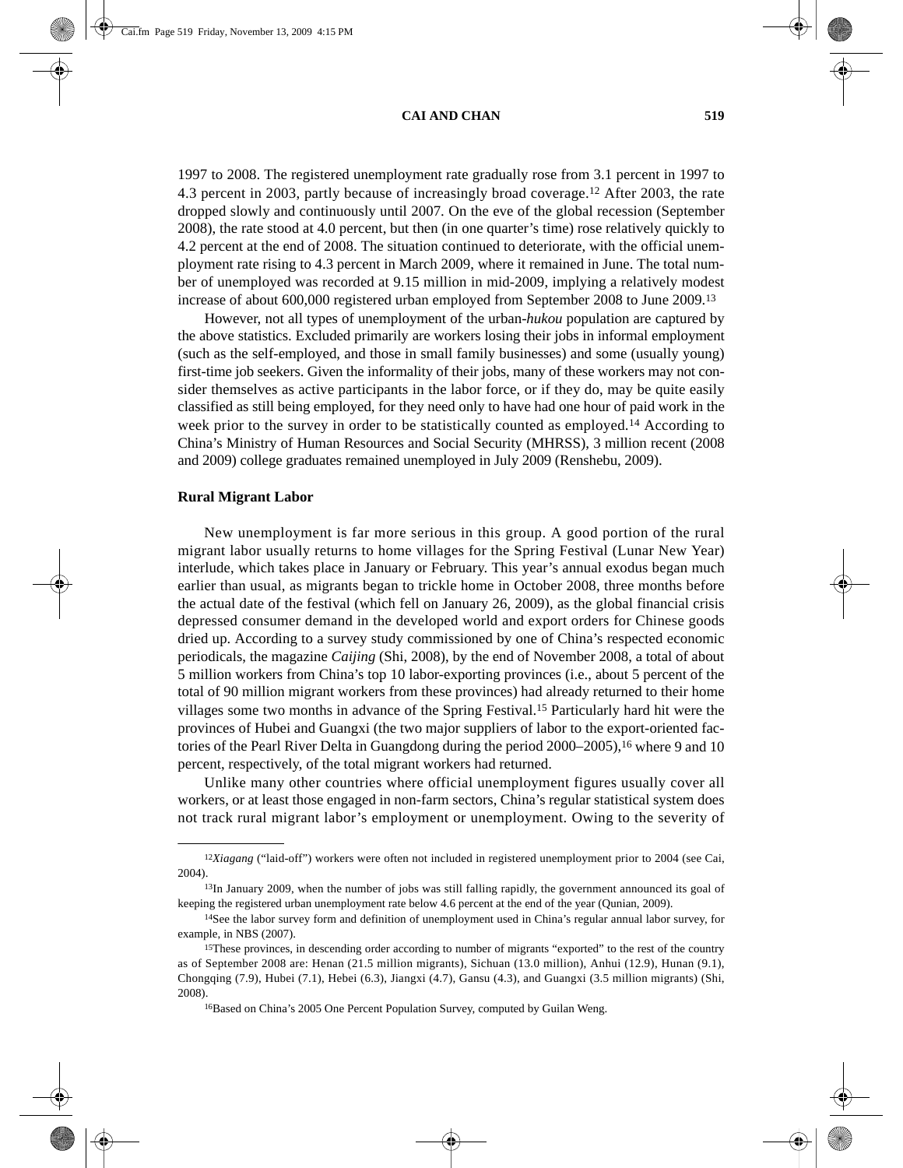1997 to 2008. The registered unemployment rate gradually rose from 3.1 percent in 1997 to 4.3 percent in 2003, partly because of increasingly broad coverage.12 After 2003, the rate dropped slowly and continuously until 2007. On the eve of the global recession (September 2008), the rate stood at 4.0 percent, but then (in one quarter's time) rose relatively quickly to 4.2 percent at the end of 2008. The situation continued to deteriorate, with the official unemployment rate rising to 4.3 percent in March 2009, where it remained in June. The total number of unemployed was recorded at 9.15 million in mid-2009, implying a relatively modest increase of about 600,000 registered urban employed from September 2008 to June 2009.13

However, not all types of unemployment of the urban-*hukou* population are captured by the above statistics. Excluded primarily are workers losing their jobs in informal employment (such as the self-employed, and those in small family businesses) and some (usually young) first-time job seekers. Given the informality of their jobs, many of these workers may not consider themselves as active participants in the labor force, or if they do, may be quite easily classified as still being employed, for they need only to have had one hour of paid work in the week prior to the survey in order to be statistically counted as employed.<sup>14</sup> According to China's Ministry of Human Resources and Social Security (MHRSS), 3 million recent (2008 and 2009) college graduates remained unemployed in July 2009 (Renshebu, 2009).

### **Rural Migrant Labor**

New unemployment is far more serious in this group. A good portion of the rural migrant labor usually returns to home villages for the Spring Festival (Lunar New Year) interlude, which takes place in January or February. This year's annual exodus began much earlier than usual, as migrants began to trickle home in October 2008, three months before the actual date of the festival (which fell on January 26, 2009), as the global financial crisis depressed consumer demand in the developed world and export orders for Chinese goods dried up. According to a survey study commissioned by one of China's respected economic periodicals, the magazine *Caijing* (Shi, 2008), by the end of November 2008, a total of about 5 million workers from China's top 10 labor-exporting provinces (i.e., about 5 percent of the total of 90 million migrant workers from these provinces) had already returned to their home villages some two months in advance of the Spring Festival.15 Particularly hard hit were the provinces of Hubei and Guangxi (the two major suppliers of labor to the export-oriented factories of the Pearl River Delta in Guangdong during the period  $2000-2005$ , <sup>16</sup> where 9 and 10 percent, respectively, of the total migrant workers had returned.

Unlike many other countries where official unemployment figures usually cover all workers, or at least those engaged in non-farm sectors, China's regular statistical system does not track rural migrant labor's employment or unemployment. Owing to the severity of

<sup>12</sup>*Xiagang* ("laid-off") workers were often not included in registered unemployment prior to 2004 (see Cai, 2004).

<sup>&</sup>lt;sup>13</sup>In January 2009, when the number of jobs was still falling rapidly, the government announced its goal of keeping the registered urban unemployment rate below 4.6 percent at the end of the year (Qunian, 2009).

<sup>14</sup>See the labor survey form and definition of unemployment used in China's regular annual labor survey, for example, in NBS (2007).

<sup>15</sup>These provinces, in descending order according to number of migrants "exported" to the rest of the country as of September 2008 are: Henan (21.5 million migrants), Sichuan (13.0 million), Anhui (12.9), Hunan (9.1), Chongqing (7.9), Hubei (7.1), Hebei (6.3), Jiangxi (4.7), Gansu (4.3), and Guangxi (3.5 million migrants) (Shi, 2008).

<sup>16</sup>Based on China's 2005 One Percent Population Survey, computed by Guilan Weng.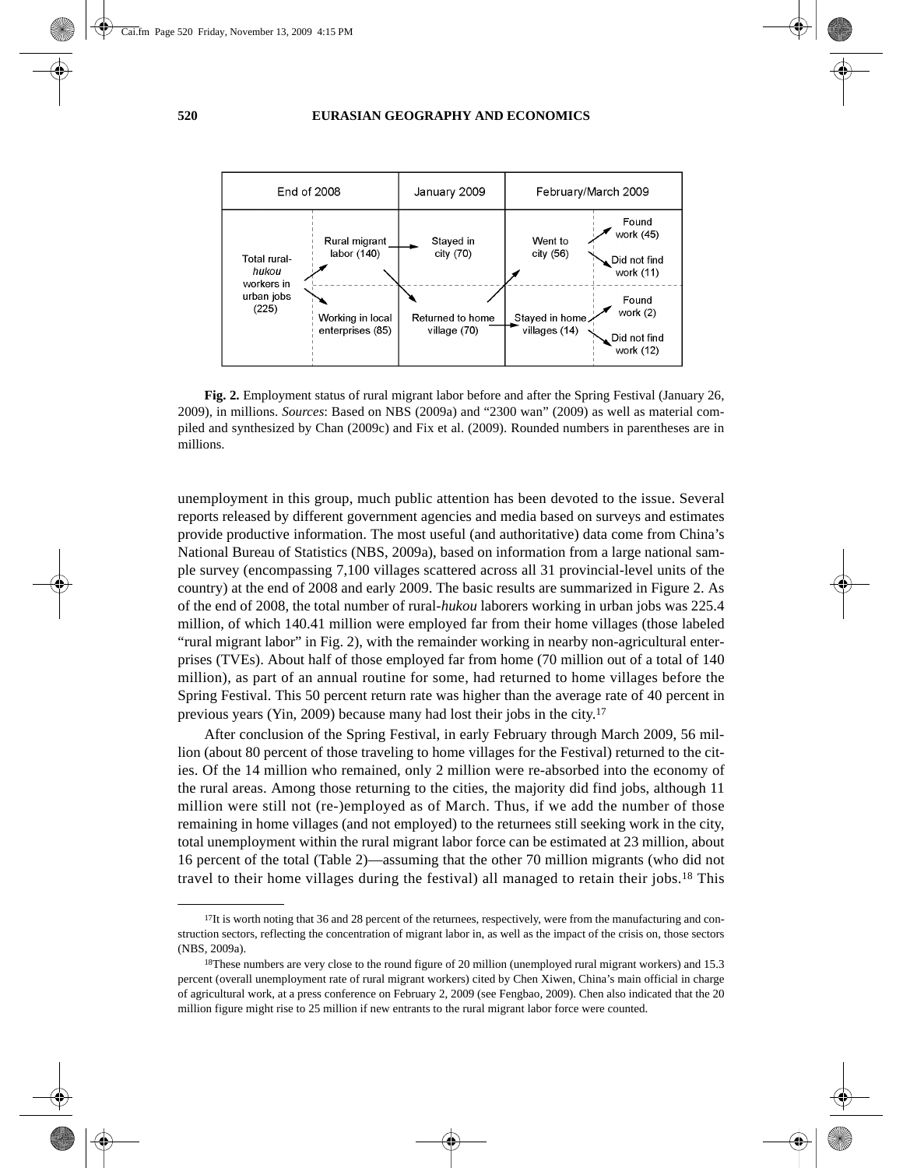

**Fig. 2.** Employment status of rural migrant labor before and after the Spring Festival (January 26, 2009), in millions. *Sources*: Based on NBS (2009a) and "2300 wan" (2009) as well as material compiled and synthesized by Chan (2009c) and Fix et al. (2009). Rounded numbers in parentheses are in millions.

unemployment in this group, much public attention has been devoted to the issue. Several reports released by different government agencies and media based on surveys and estimates provide productive information. The most useful (and authoritative) data come from China's National Bureau of Statistics (NBS, 2009a), based on information from a large national sample survey (encompassing 7,100 villages scattered across all 31 provincial-level units of the country) at the end of 2008 and early 2009. The basic results are summarized in Figure 2. As of the end of 2008, the total number of rural-*hukou* laborers working in urban jobs was 225.4 million, of which 140.41 million were employed far from their home villages (those labeled "rural migrant labor" in Fig. 2), with the remainder working in nearby non-agricultural enterprises (TVEs). About half of those employed far from home (70 million out of a total of 140 million), as part of an annual routine for some, had returned to home villages before the Spring Festival. This 50 percent return rate was higher than the average rate of 40 percent in previous years (Yin, 2009) because many had lost their jobs in the city.17

After conclusion of the Spring Festival, in early February through March 2009, 56 million (about 80 percent of those traveling to home villages for the Festival) returned to the cities. Of the 14 million who remained, only 2 million were re-absorbed into the economy of the rural areas. Among those returning to the cities, the majority did find jobs, although 11 million were still not (re-)employed as of March. Thus, if we add the number of those remaining in home villages (and not employed) to the returnees still seeking work in the city, total unemployment within the rural migrant labor force can be estimated at 23 million, about 16 percent of the total (Table 2)—assuming that the other 70 million migrants (who did not travel to their home villages during the festival) all managed to retain their jobs.18 This

 $17$ It is worth noting that 36 and 28 percent of the returnees, respectively, were from the manufacturing and construction sectors, reflecting the concentration of migrant labor in, as well as the impact of the crisis on, those sectors (NBS, 2009a).

<sup>18</sup>These numbers are very close to the round figure of 20 million (unemployed rural migrant workers) and 15.3 percent (overall unemployment rate of rural migrant workers) cited by Chen Xiwen, China's main official in charge of agricultural work, at a press conference on February 2, 2009 (see Fengbao, 2009). Chen also indicated that the 20 million figure might rise to 25 million if new entrants to the rural migrant labor force were counted.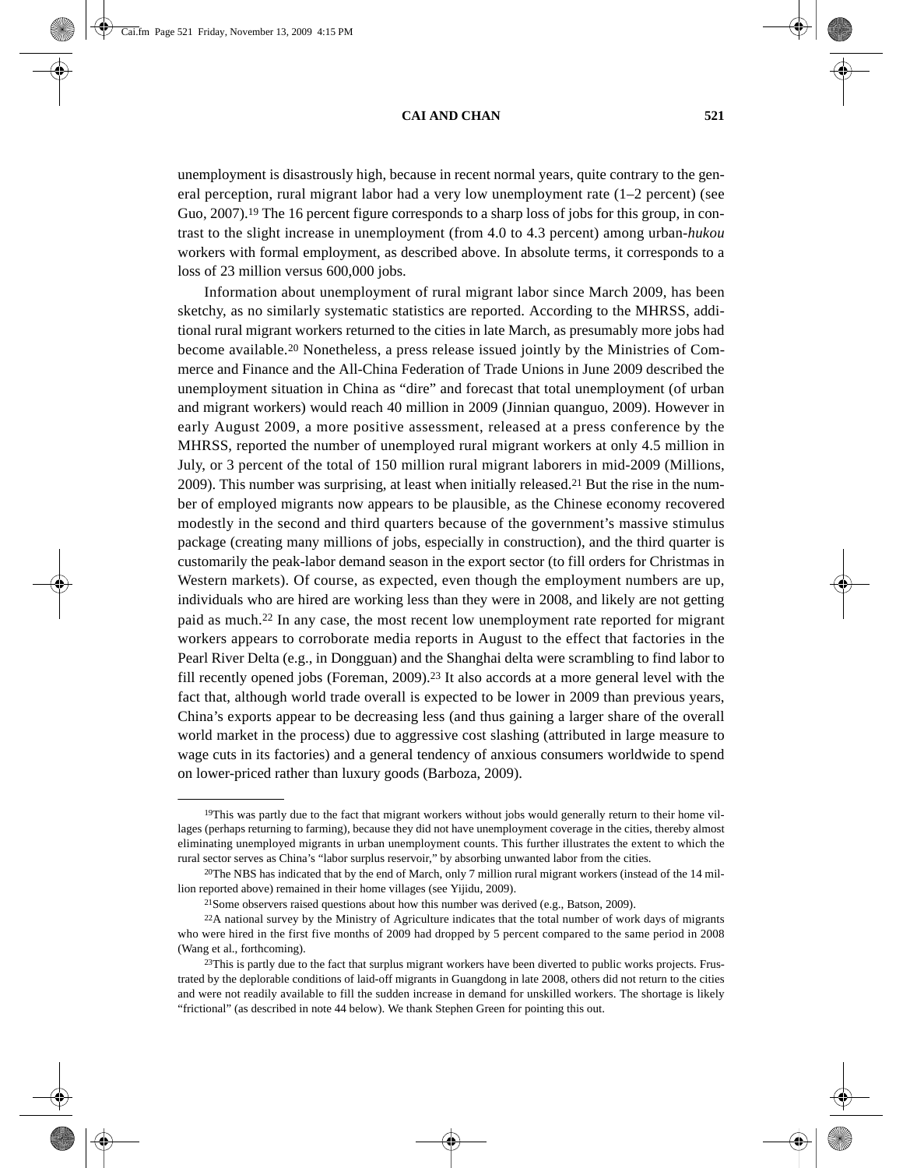unemployment is disastrously high, because in recent normal years, quite contrary to the general perception, rural migrant labor had a very low unemployment rate (1–2 percent) (see Guo, 2007).<sup>19</sup> The 16 percent figure corresponds to a sharp loss of jobs for this group, in contrast to the slight increase in unemployment (from 4.0 to 4.3 percent) among urban-*hukou* workers with formal employment, as described above. In absolute terms, it corresponds to a loss of 23 million versus 600,000 jobs.

Information about unemployment of rural migrant labor since March 2009, has been sketchy, as no similarly systematic statistics are reported. According to the MHRSS, additional rural migrant workers returned to the cities in late March, as presumably more jobs had become available.20 Nonetheless, a press release issued jointly by the Ministries of Commerce and Finance and the All-China Federation of Trade Unions in June 2009 described the unemployment situation in China as "dire" and forecast that total unemployment (of urban and migrant workers) would reach 40 million in 2009 (Jinnian quanguo, 2009). However in early August 2009, a more positive assessment, released at a press conference by the MHRSS, reported the number of unemployed rural migrant workers at only 4.5 million in July, or 3 percent of the total of 150 million rural migrant laborers in mid-2009 (Millions, 2009). This number was surprising, at least when initially released.<sup>21</sup> But the rise in the number of employed migrants now appears to be plausible, as the Chinese economy recovered modestly in the second and third quarters because of the government's massive stimulus package (creating many millions of jobs, especially in construction), and the third quarter is customarily the peak-labor demand season in the export sector (to fill orders for Christmas in Western markets). Of course, as expected, even though the employment numbers are up, individuals who are hired are working less than they were in 2008, and likely are not getting paid as much.22 In any case, the most recent low unemployment rate reported for migrant workers appears to corroborate media reports in August to the effect that factories in the Pearl River Delta (e.g., in Dongguan) and the Shanghai delta were scrambling to find labor to fill recently opened jobs (Foreman, 2009).23 It also accords at a more general level with the fact that, although world trade overall is expected to be lower in 2009 than previous years, China's exports appear to be decreasing less (and thus gaining a larger share of the overall world market in the process) due to aggressive cost slashing (attributed in large measure to wage cuts in its factories) and a general tendency of anxious consumers worldwide to spend on lower-priced rather than luxury goods (Barboza, 2009).

<sup>19</sup>This was partly due to the fact that migrant workers without jobs would generally return to their home villages (perhaps returning to farming), because they did not have unemployment coverage in the cities, thereby almost eliminating unemployed migrants in urban unemployment counts. This further illustrates the extent to which the rural sector serves as China's "labor surplus reservoir," by absorbing unwanted labor from the cities.

<sup>&</sup>lt;sup>20</sup>The NBS has indicated that by the end of March, only 7 million rural migrant workers (instead of the 14 million reported above) remained in their home villages (see Yijidu, 2009).

<sup>21</sup>Some observers raised questions about how this number was derived (e.g., Batson, 2009).

<sup>22</sup>A national survey by the Ministry of Agriculture indicates that the total number of work days of migrants who were hired in the first five months of 2009 had dropped by 5 percent compared to the same period in 2008 (Wang et al., forthcoming).

<sup>&</sup>lt;sup>23</sup>This is partly due to the fact that surplus migrant workers have been diverted to public works projects. Frustrated by the deplorable conditions of laid-off migrants in Guangdong in late 2008, others did not return to the cities and were not readily available to fill the sudden increase in demand for unskilled workers. The shortage is likely "frictional" (as described in note 44 below). We thank Stephen Green for pointing this out.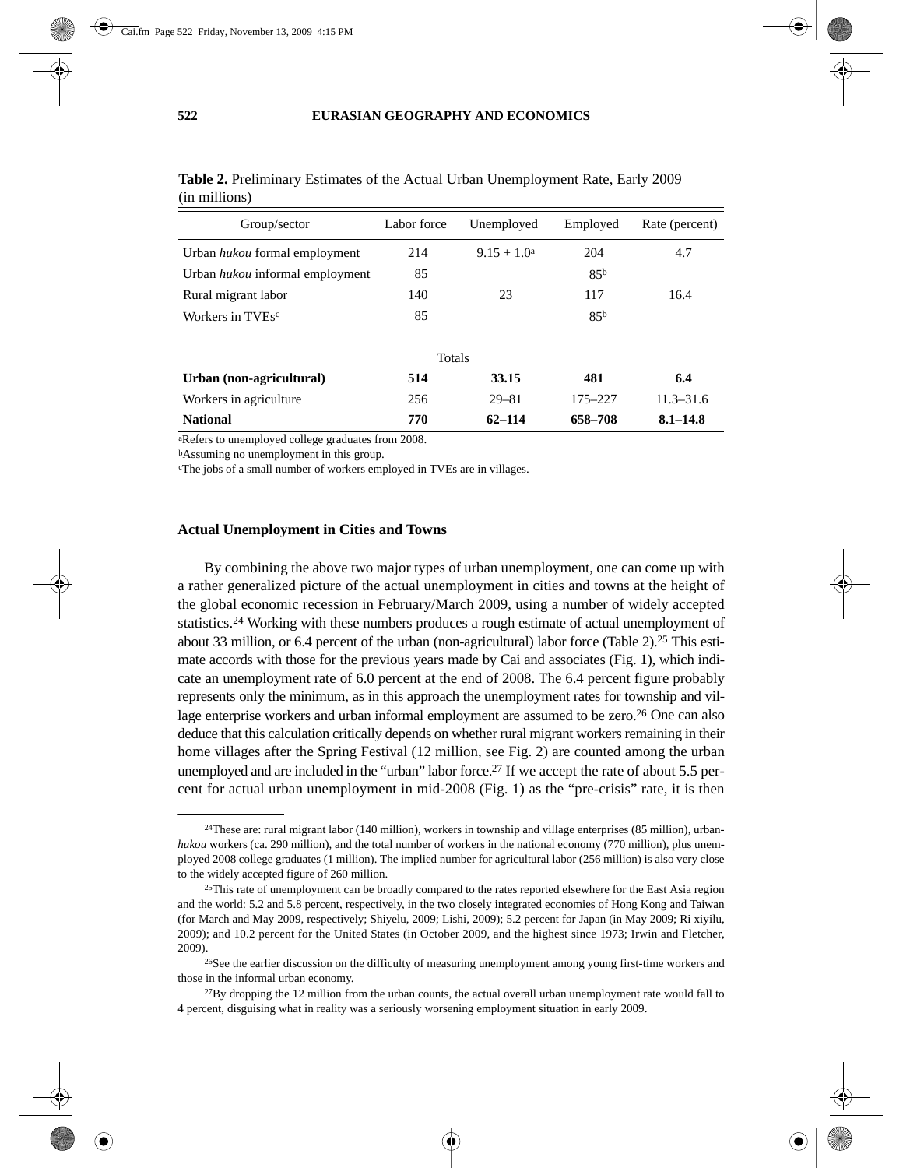| Group/sector                           | Labor force | Unemployed     | Employed        | Rate (percent) |  |  |  |
|----------------------------------------|-------------|----------------|-----------------|----------------|--|--|--|
|                                        |             |                |                 |                |  |  |  |
| Urban <i>hukou</i> formal employment   | 214         | $9.15 + 1.0^a$ | 204             | 4.7            |  |  |  |
| Urban <i>hukou</i> informal employment | 85          |                | 85 <sup>b</sup> |                |  |  |  |
| Rural migrant labor                    | 140         | 23             | 117             | 16.4           |  |  |  |
| Workers in TVEs <sup>c</sup>           | 85          |                | 85 <sup>b</sup> |                |  |  |  |
| Totals                                 |             |                |                 |                |  |  |  |
| Urban (non-agricultural)               | 514         | 33.15          | 481             | 6.4            |  |  |  |
| Workers in agriculture                 | 256         | $29 - 81$      | 175–227         | $11.3 - 31.6$  |  |  |  |
| <b>National</b>                        | 770         | $62 - 114$     | 658-708         | $8.1 - 14.8$   |  |  |  |

**Table 2.** Preliminary Estimates of the Actual Urban Unemployment Rate, Early 2009 (in millions)

aRefers to unemployed college graduates from 2008.

bAssuming no unemployment in this group.

cThe jobs of a small number of workers employed in TVEs are in villages.

# **Actual Unemployment in Cities and Towns**

By combining the above two major types of urban unemployment, one can come up with a rather generalized picture of the actual unemployment in cities and towns at the height of the global economic recession in February/March 2009, using a number of widely accepted statistics.24 Working with these numbers produces a rough estimate of actual unemployment of about 33 million, or 6.4 percent of the urban (non-agricultural) labor force (Table 2).25 This estimate accords with those for the previous years made by Cai and associates (Fig. 1), which indicate an unemployment rate of 6.0 percent at the end of 2008. The 6.4 percent figure probably represents only the minimum, as in this approach the unemployment rates for township and village enterprise workers and urban informal employment are assumed to be zero.26 One can also deduce that this calculation critically depends on whether rural migrant workers remaining in their home villages after the Spring Festival (12 million, see Fig. 2) are counted among the urban unemployed and are included in the "urban" labor force.27 If we accept the rate of about 5.5 percent for actual urban unemployment in mid-2008 (Fig. 1) as the "pre-crisis" rate, it is then

<sup>24</sup>These are: rural migrant labor (140 million), workers in township and village enterprises (85 million), urban*hukou* workers (ca. 290 million), and the total number of workers in the national economy (770 million), plus unemployed 2008 college graduates (1 million). The implied number for agricultural labor (256 million) is also very close to the widely accepted figure of 260 million.

<sup>25</sup>This rate of unemployment can be broadly compared to the rates reported elsewhere for the East Asia region and the world: 5.2 and 5.8 percent, respectively, in the two closely integrated economies of Hong Kong and Taiwan (for March and May 2009, respectively; Shiyelu, 2009; Lishi, 2009); 5.2 percent for Japan (in May 2009; Ri xiyilu, 2009); and 10.2 percent for the United States (in October 2009, and the highest since 1973; Irwin and Fletcher, 2009).

<sup>&</sup>lt;sup>26</sup>See the earlier discussion on the difficulty of measuring unemployment among young first-time workers and those in the informal urban economy.

<sup>&</sup>lt;sup>27</sup>By dropping the 12 million from the urban counts, the actual overall urban unemployment rate would fall to 4 percent, disguising what in reality was a seriously worsening employment situation in early 2009.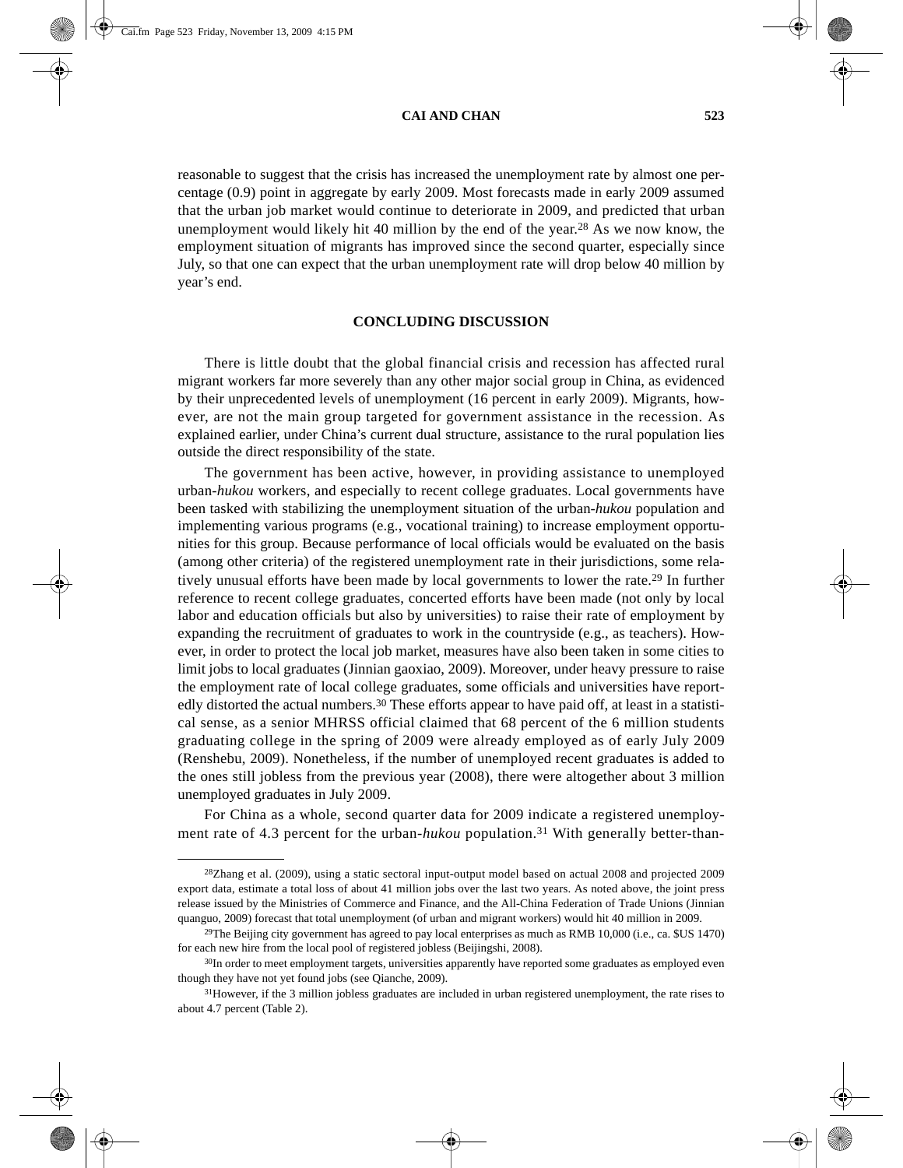reasonable to suggest that the crisis has increased the unemployment rate by almost one percentage (0.9) point in aggregate by early 2009. Most forecasts made in early 2009 assumed that the urban job market would continue to deteriorate in 2009, and predicted that urban unemployment would likely hit 40 million by the end of the year.<sup>28</sup> As we now know, the employment situation of migrants has improved since the second quarter, especially since July, so that one can expect that the urban unemployment rate will drop below 40 million by year's end.

## **CONCLUDING DISCUSSION**

There is little doubt that the global financial crisis and recession has affected rural migrant workers far more severely than any other major social group in China, as evidenced by their unprecedented levels of unemployment (16 percent in early 2009). Migrants, however, are not the main group targeted for government assistance in the recession. As explained earlier, under China's current dual structure, assistance to the rural population lies outside the direct responsibility of the state.

The government has been active, however, in providing assistance to unemployed urban-*hukou* workers, and especially to recent college graduates. Local governments have been tasked with stabilizing the unemployment situation of the urban-*hukou* population and implementing various programs (e.g., vocational training) to increase employment opportunities for this group. Because performance of local officials would be evaluated on the basis (among other criteria) of the registered unemployment rate in their jurisdictions, some relatively unusual efforts have been made by local governments to lower the rate.29 In further reference to recent college graduates, concerted efforts have been made (not only by local labor and education officials but also by universities) to raise their rate of employment by expanding the recruitment of graduates to work in the countryside (e.g., as teachers). However, in order to protect the local job market, measures have also been taken in some cities to limit jobs to local graduates (Jinnian gaoxiao, 2009). Moreover, under heavy pressure to raise the employment rate of local college graduates, some officials and universities have reportedly distorted the actual numbers.<sup>30</sup> These efforts appear to have paid off, at least in a statistical sense, as a senior MHRSS official claimed that 68 percent of the 6 million students graduating college in the spring of 2009 were already employed as of early July 2009 (Renshebu, 2009). Nonetheless, if the number of unemployed recent graduates is added to the ones still jobless from the previous year (2008), there were altogether about 3 million unemployed graduates in July 2009.

For China as a whole, second quarter data for 2009 indicate a registered unemployment rate of 4.3 percent for the urban-*hukou* population.<sup>31</sup> With generally better-than-

<sup>28</sup>Zhang et al. (2009), using a static sectoral input-output model based on actual 2008 and projected 2009 export data, estimate a total loss of about 41 million jobs over the last two years. As noted above, the joint press release issued by the Ministries of Commerce and Finance, and the All-China Federation of Trade Unions (Jinnian quanguo, 2009) forecast that total unemployment (of urban and migrant workers) would hit 40 million in 2009.

<sup>29</sup>The Beijing city government has agreed to pay local enterprises as much as RMB 10,000 (i.e., ca. \$US 1470) for each new hire from the local pool of registered jobless (Beijingshi, 2008).

<sup>&</sup>lt;sup>30</sup>In order to meet employment targets, universities apparently have reported some graduates as employed even though they have not yet found jobs (see Qianche, 2009).

<sup>31</sup>However, if the 3 million jobless graduates are included in urban registered unemployment, the rate rises to about 4.7 percent (Table 2).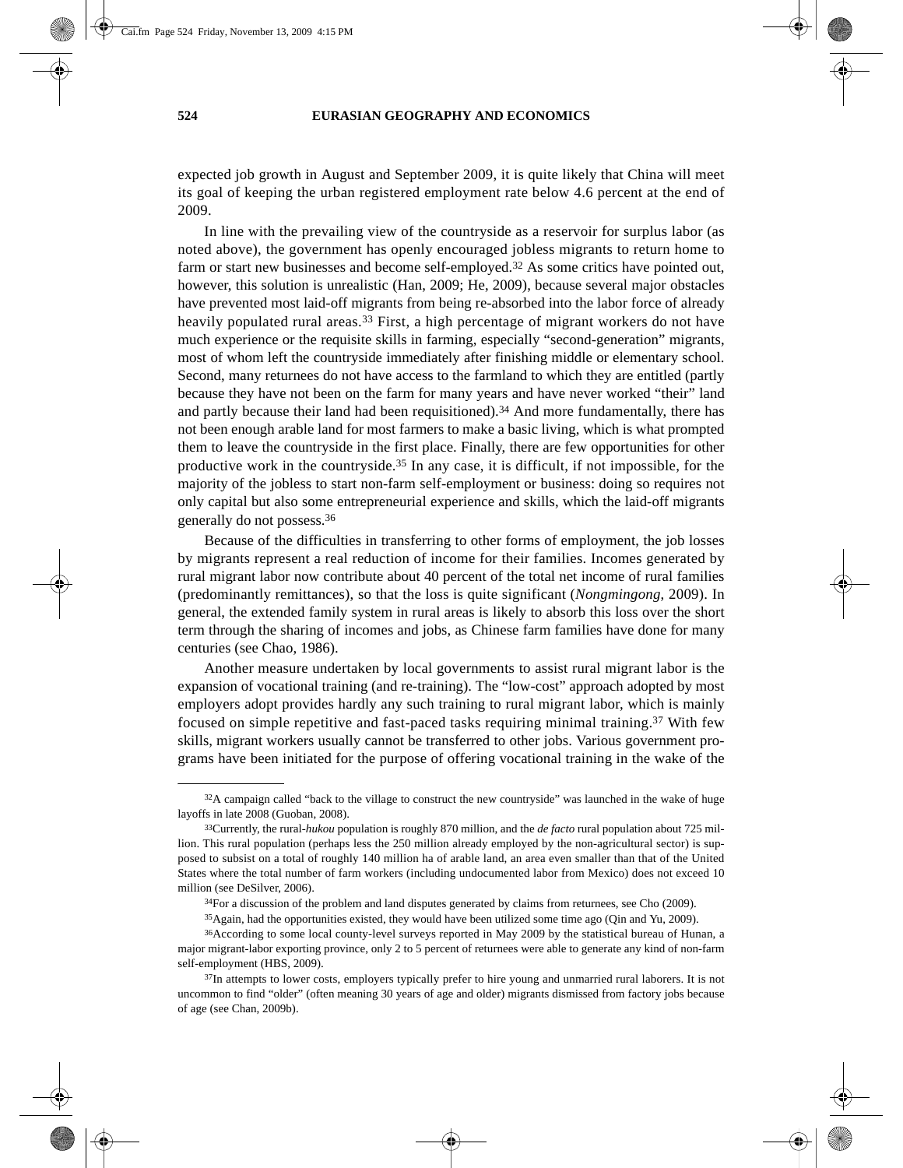expected job growth in August and September 2009, it is quite likely that China will meet its goal of keeping the urban registered employment rate below 4.6 percent at the end of 2009.

In line with the prevailing view of the countryside as a reservoir for surplus labor (as noted above), the government has openly encouraged jobless migrants to return home to farm or start new businesses and become self-employed.32 As some critics have pointed out, however, this solution is unrealistic (Han, 2009; He, 2009), because several major obstacles have prevented most laid-off migrants from being re-absorbed into the labor force of already heavily populated rural areas.<sup>33</sup> First, a high percentage of migrant workers do not have much experience or the requisite skills in farming, especially "second-generation" migrants, most of whom left the countryside immediately after finishing middle or elementary school. Second, many returnees do not have access to the farmland to which they are entitled (partly because they have not been on the farm for many years and have never worked "their" land and partly because their land had been requisitioned).<sup>34</sup> And more fundamentally, there has not been enough arable land for most farmers to make a basic living, which is what prompted them to leave the countryside in the first place. Finally, there are few opportunities for other productive work in the countryside.<sup>35</sup> In any case, it is difficult, if not impossible, for the majority of the jobless to start non-farm self-employment or business: doing so requires not only capital but also some entrepreneurial experience and skills, which the laid-off migrants generally do not possess.36

Because of the difficulties in transferring to other forms of employment, the job losses by migrants represent a real reduction of income for their families. Incomes generated by rural migrant labor now contribute about 40 percent of the total net income of rural families (predominantly remittances), so that the loss is quite significant (*Nongmingong*, 2009). In general, the extended family system in rural areas is likely to absorb this loss over the short term through the sharing of incomes and jobs, as Chinese farm families have done for many centuries (see Chao, 1986).

Another measure undertaken by local governments to assist rural migrant labor is the expansion of vocational training (and re-training). The "low-cost" approach adopted by most employers adopt provides hardly any such training to rural migrant labor, which is mainly focused on simple repetitive and fast-paced tasks requiring minimal training.37 With few skills, migrant workers usually cannot be transferred to other jobs. Various government programs have been initiated for the purpose of offering vocational training in the wake of the

<sup>32</sup>A campaign called "back to the village to construct the new countryside" was launched in the wake of huge layoffs in late 2008 (Guoban, 2008).

<sup>33</sup>Currently, the rural-*hukou* population is roughly 870 million, and the *de facto* rural population about 725 million. This rural population (perhaps less the 250 million already employed by the non-agricultural sector) is supposed to subsist on a total of roughly 140 million ha of arable land, an area even smaller than that of the United States where the total number of farm workers (including undocumented labor from Mexico) does not exceed 10 million (see DeSilver, 2006).

<sup>&</sup>lt;sup>34</sup>For a discussion of the problem and land disputes generated by claims from returnees, see Cho (2009).

<sup>35</sup>Again, had the opportunities existed, they would have been utilized some time ago (Qin and Yu, 2009).

<sup>36</sup>According to some local county-level surveys reported in May 2009 by the statistical bureau of Hunan, a major migrant-labor exporting province, only 2 to 5 percent of returnees were able to generate any kind of non-farm self-employment (HBS, 2009).

<sup>&</sup>lt;sup>37</sup>In attempts to lower costs, employers typically prefer to hire young and unmarried rural laborers. It is not uncommon to find "older" (often meaning 30 years of age and older) migrants dismissed from factory jobs because of age (see Chan, 2009b).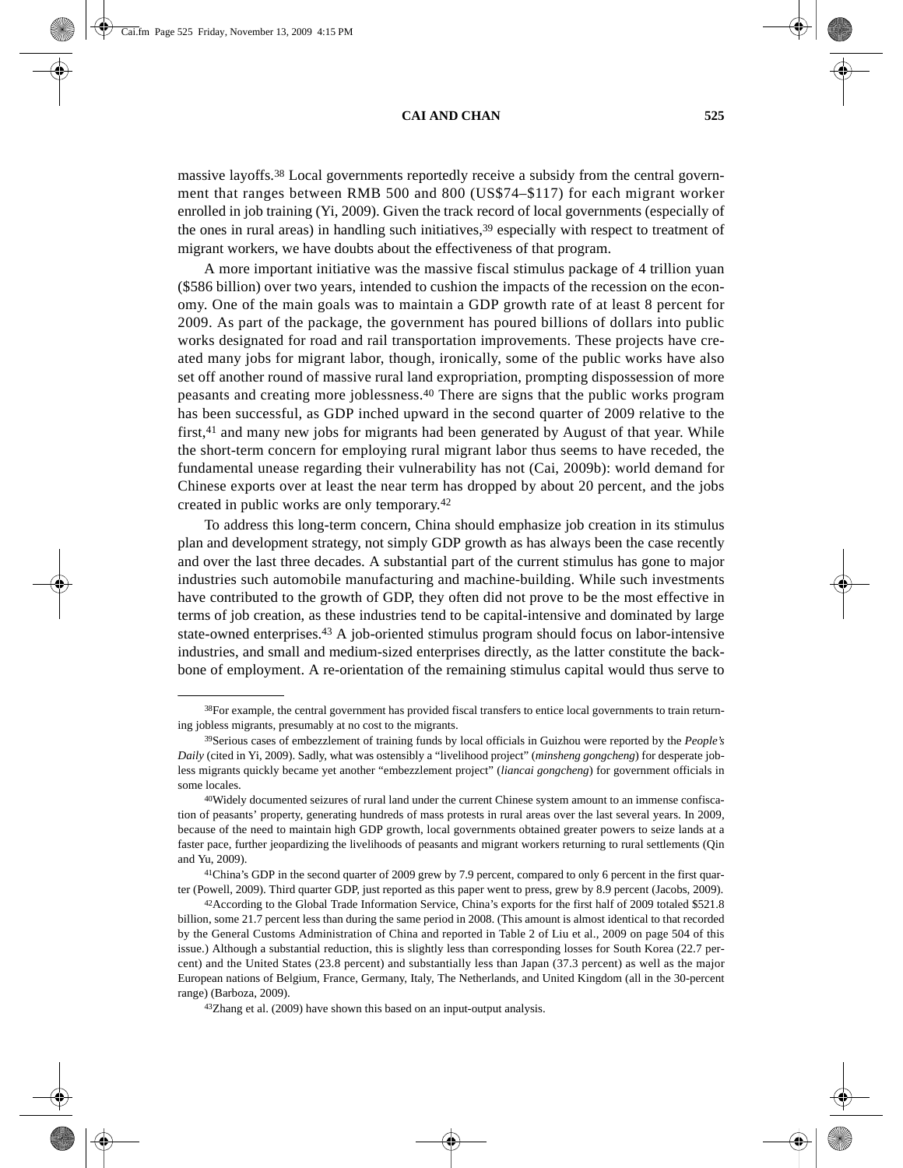massive layoffs.38 Local governments reportedly receive a subsidy from the central government that ranges between RMB 500 and 800 (US\$74–\$117) for each migrant worker enrolled in job training (Yi, 2009). Given the track record of local governments (especially of the ones in rural areas) in handling such initiatives, $39$  especially with respect to treatment of migrant workers, we have doubts about the effectiveness of that program.

A more important initiative was the massive fiscal stimulus package of 4 trillion yuan (\$586 billion) over two years, intended to cushion the impacts of the recession on the economy. One of the main goals was to maintain a GDP growth rate of at least 8 percent for 2009. As part of the package, the government has poured billions of dollars into public works designated for road and rail transportation improvements. These projects have created many jobs for migrant labor, though, ironically, some of the public works have also set off another round of massive rural land expropriation, prompting dispossession of more peasants and creating more joblessness.40 There are signs that the public works program has been successful, as GDP inched upward in the second quarter of 2009 relative to the first,<sup>41</sup> and many new jobs for migrants had been generated by August of that year. While the short-term concern for employing rural migrant labor thus seems to have receded, the fundamental unease regarding their vulnerability has not (Cai, 2009b): world demand for Chinese exports over at least the near term has dropped by about 20 percent, and the jobs created in public works are only temporary.42

To address this long-term concern, China should emphasize job creation in its stimulus plan and development strategy, not simply GDP growth as has always been the case recently and over the last three decades. A substantial part of the current stimulus has gone to major industries such automobile manufacturing and machine-building. While such investments have contributed to the growth of GDP, they often did not prove to be the most effective in terms of job creation, as these industries tend to be capital-intensive and dominated by large state-owned enterprises.43 A job-oriented stimulus program should focus on labor-intensive industries, and small and medium-sized enterprises directly, as the latter constitute the backbone of employment. A re-orientation of the remaining stimulus capital would thus serve to

<sup>&</sup>lt;sup>38</sup>For example, the central government has provided fiscal transfers to entice local governments to train returning jobless migrants, presumably at no cost to the migrants.

<sup>39</sup>Serious cases of embezzlement of training funds by local officials in Guizhou were reported by the *People's Daily* (cited in Yi, 2009). Sadly, what was ostensibly a "livelihood project" (*minsheng gongcheng*) for desperate jobless migrants quickly became yet another "embezzlement project" (*liancai gongcheng*) for government officials in some locales.

<sup>40</sup>Widely documented seizures of rural land under the current Chinese system amount to an immense confiscation of peasants' property, generating hundreds of mass protests in rural areas over the last several years. In 2009, because of the need to maintain high GDP growth, local governments obtained greater powers to seize lands at a faster pace, further jeopardizing the livelihoods of peasants and migrant workers returning to rural settlements (Qin and Yu, 2009).

<sup>41</sup>China's GDP in the second quarter of 2009 grew by 7.9 percent, compared to only 6 percent in the first quarter (Powell, 2009). Third quarter GDP, just reported as this paper went to press, grew by 8.9 percent (Jacobs, 2009).

<sup>42</sup>According to the Global Trade Information Service, China's exports for the first half of 2009 totaled \$521.8 billion, some 21.7 percent less than during the same period in 2008. (This amount is almost identical to that recorded by the General Customs Administration of China and reported in Table 2 of Liu et al., 2009 on page 504 of this issue.) Although a substantial reduction, this is slightly less than corresponding losses for South Korea (22.7 percent) and the United States (23.8 percent) and substantially less than Japan (37.3 percent) as well as the major European nations of Belgium, France, Germany, Italy, The Netherlands, and United Kingdom (all in the 30-percent range) (Barboza, 2009).

<sup>43</sup>Zhang et al. (2009) have shown this based on an input-output analysis.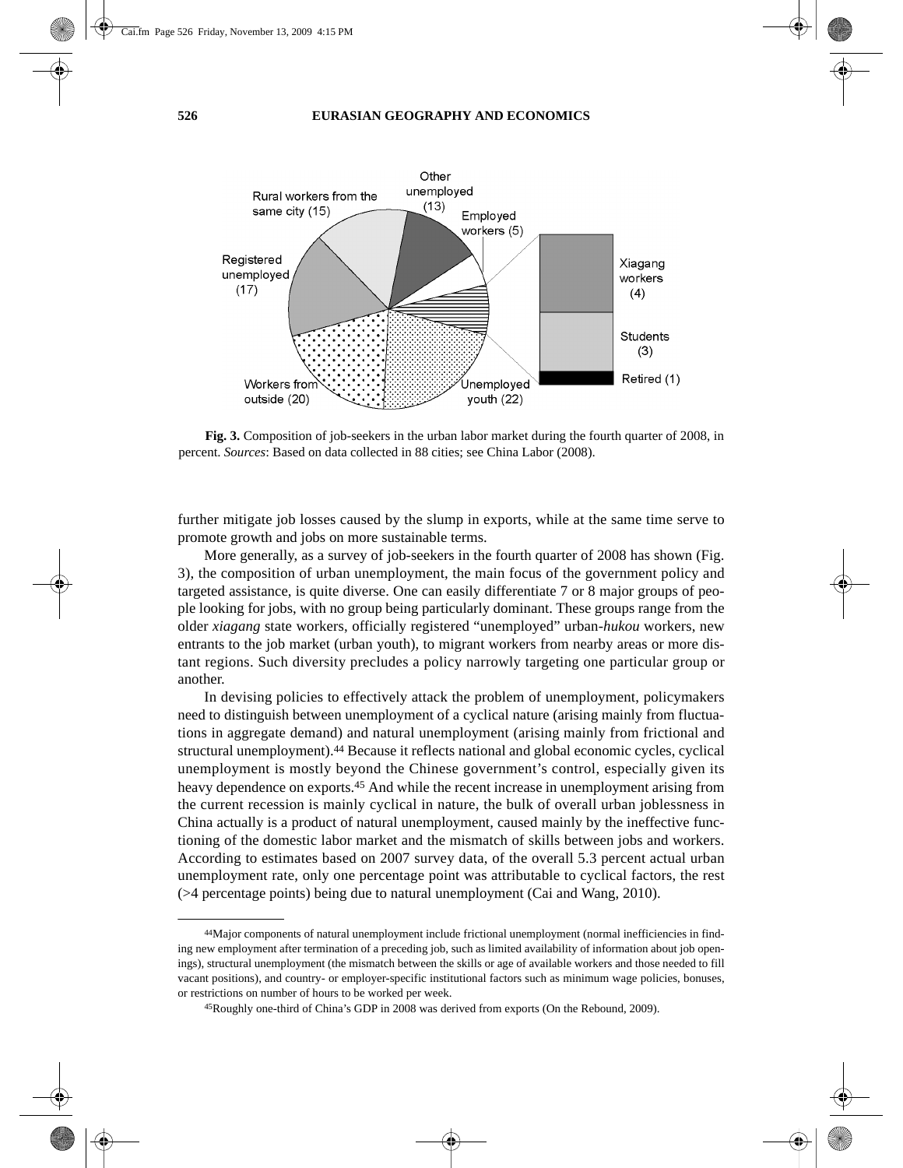

**Fig. 3.** Composition of job-seekers in the urban labor market during the fourth quarter of 2008, in percent. *Sources*: Based on data collected in 88 cities; see China Labor (2008).

further mitigate job losses caused by the slump in exports, while at the same time serve to promote growth and jobs on more sustainable terms.

More generally, as a survey of job-seekers in the fourth quarter of 2008 has shown (Fig. 3), the composition of urban unemployment, the main focus of the government policy and targeted assistance, is quite diverse. One can easily differentiate 7 or 8 major groups of people looking for jobs, with no group being particularly dominant. These groups range from the older *xiagang* state workers, officially registered "unemployed" urban-*hukou* workers, new entrants to the job market (urban youth), to migrant workers from nearby areas or more distant regions. Such diversity precludes a policy narrowly targeting one particular group or another.

In devising policies to effectively attack the problem of unemployment, policymakers need to distinguish between unemployment of a cyclical nature (arising mainly from fluctuations in aggregate demand) and natural unemployment (arising mainly from frictional and structural unemployment).44 Because it reflects national and global economic cycles, cyclical unemployment is mostly beyond the Chinese government's control, especially given its heavy dependence on exports.45 And while the recent increase in unemployment arising from the current recession is mainly cyclical in nature, the bulk of overall urban joblessness in China actually is a product of natural unemployment, caused mainly by the ineffective functioning of the domestic labor market and the mismatch of skills between jobs and workers. According to estimates based on 2007 survey data, of the overall 5.3 percent actual urban unemployment rate, only one percentage point was attributable to cyclical factors, the rest (>4 percentage points) being due to natural unemployment (Cai and Wang, 2010).

<sup>44</sup>Major components of natural unemployment include frictional unemployment (normal inefficiencies in finding new employment after termination of a preceding job, such as limited availability of information about job openings), structural unemployment (the mismatch between the skills or age of available workers and those needed to fill vacant positions), and country- or employer-specific institutional factors such as minimum wage policies, bonuses, or restrictions on number of hours to be worked per week.

<sup>45</sup>Roughly one-third of China's GDP in 2008 was derived from exports (On the Rebound, 2009).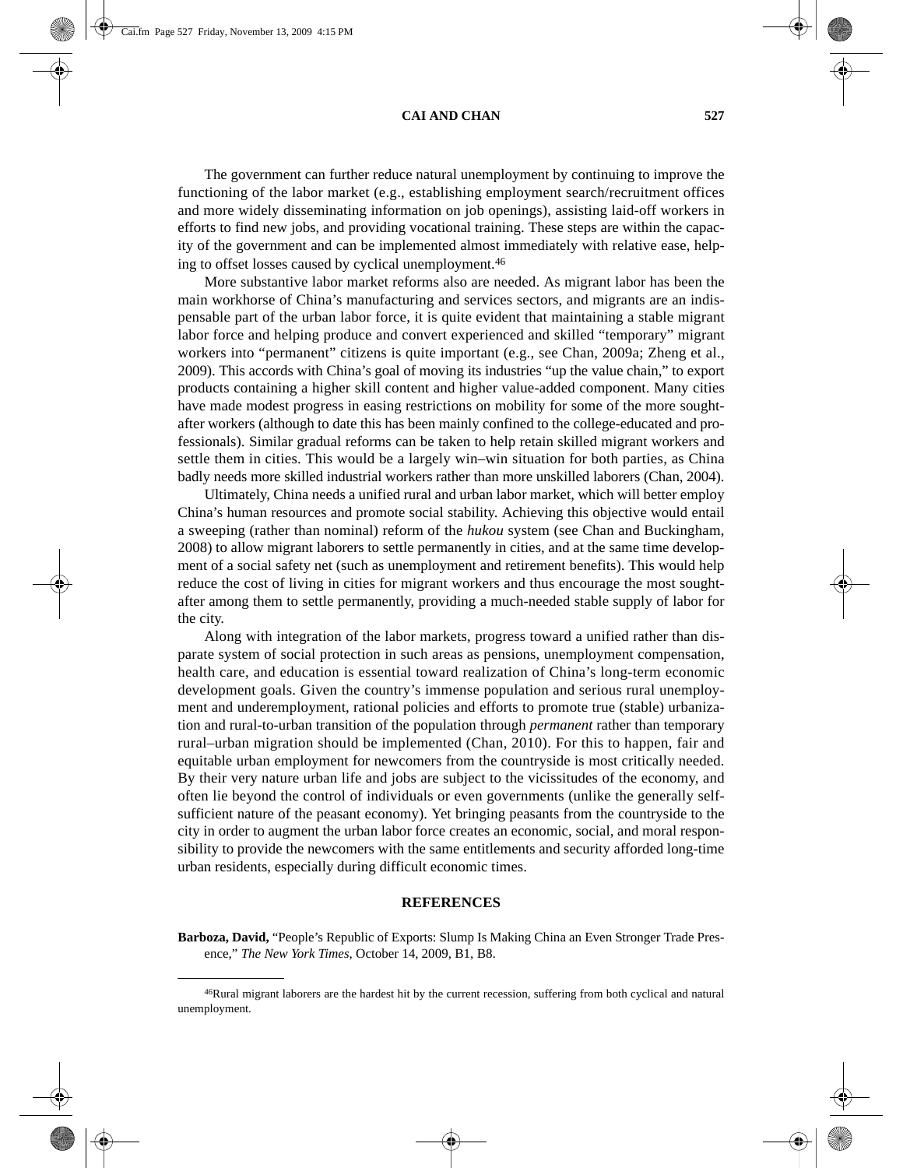The government can further reduce natural unemployment by continuing to improve the functioning of the labor market (e.g., establishing employment search/recruitment offices and more widely disseminating information on job openings), assisting laid-off workers in efforts to find new jobs, and providing vocational training. These steps are within the capacity of the government and can be implemented almost immediately with relative ease, helping to offset losses caused by cyclical unemployment.46

More substantive labor market reforms also are needed. As migrant labor has been the main workhorse of China's manufacturing and services sectors, and migrants are an indispensable part of the urban labor force, it is quite evident that maintaining a stable migrant labor force and helping produce and convert experienced and skilled "temporary" migrant workers into "permanent" citizens is quite important (e.g., see Chan, 2009a; Zheng et al., 2009). This accords with China's goal of moving its industries "up the value chain," to export products containing a higher skill content and higher value-added component. Many cities have made modest progress in easing restrictions on mobility for some of the more soughtafter workers (although to date this has been mainly confined to the college-educated and professionals). Similar gradual reforms can be taken to help retain skilled migrant workers and settle them in cities. This would be a largely win–win situation for both parties, as China badly needs more skilled industrial workers rather than more unskilled laborers (Chan, 2004).

Ultimately, China needs a unified rural and urban labor market, which will better employ China's human resources and promote social stability. Achieving this objective would entail a sweeping (rather than nominal) reform of the *hukou* system (see Chan and Buckingham, 2008) to allow migrant laborers to settle permanently in cities, and at the same time development of a social safety net (such as unemployment and retirement benefits). This would help reduce the cost of living in cities for migrant workers and thus encourage the most soughtafter among them to settle permanently, providing a much-needed stable supply of labor for the city.

Along with integration of the labor markets, progress toward a unified rather than disparate system of social protection in such areas as pensions, unemployment compensation, health care, and education is essential toward realization of China's long-term economic development goals. Given the country's immense population and serious rural unemployment and underemployment, rational policies and efforts to promote true (stable) urbanization and rural-to-urban transition of the population through *permanent* rather than temporary rural–urban migration should be implemented (Chan, 2010). For this to happen, fair and equitable urban employment for newcomers from the countryside is most critically needed. By their very nature urban life and jobs are subject to the vicissitudes of the economy, and often lie beyond the control of individuals or even governments (unlike the generally selfsufficient nature of the peasant economy). Yet bringing peasants from the countryside to the city in order to augment the urban labor force creates an economic, social, and moral responsibility to provide the newcomers with the same entitlements and security afforded long-time urban residents, especially during difficult economic times.

#### **REFERENCES**

**Barboza, David,** "People's Republic of Exports: Slump Is Making China an Even Stronger Trade Presence," *The New York Times*, October 14, 2009, B1, B8.

<sup>46</sup>Rural migrant laborers are the hardest hit by the current recession, suffering from both cyclical and natural unemployment.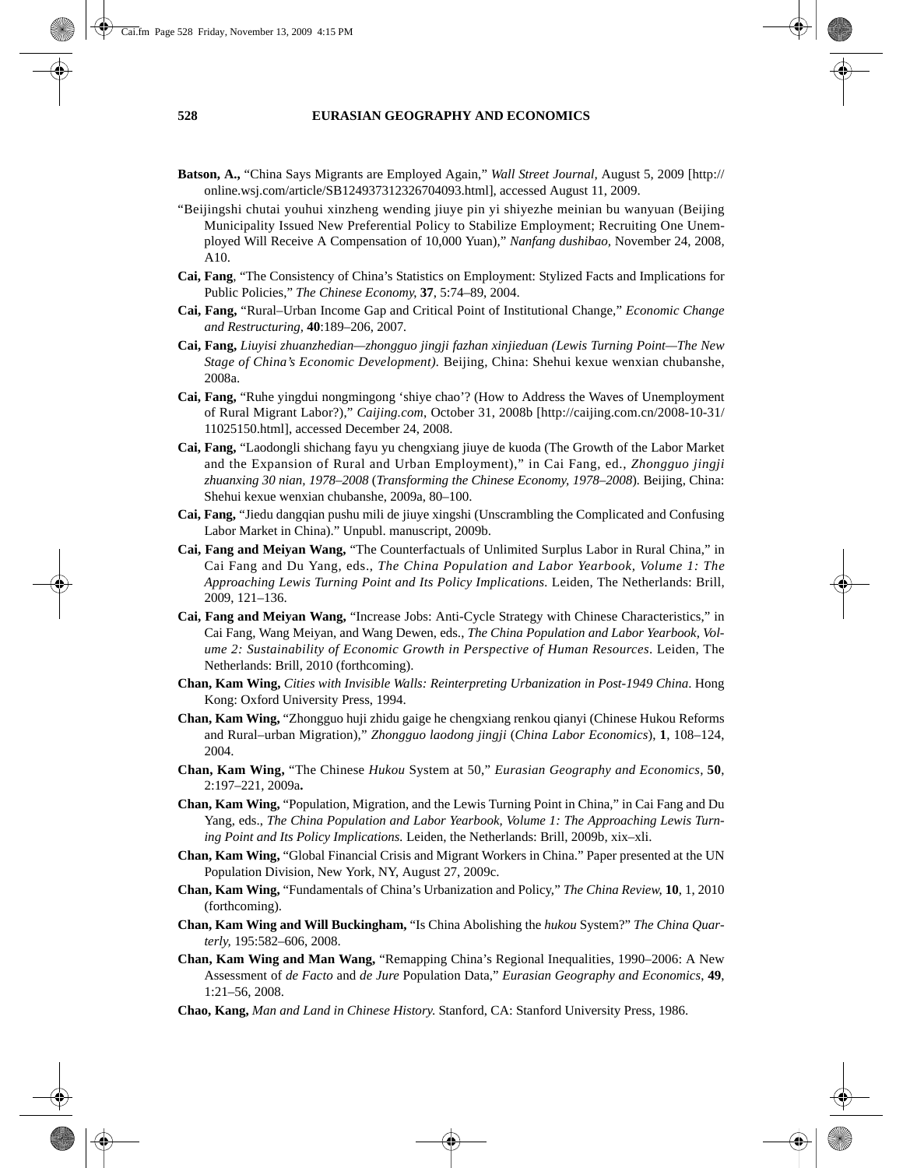- **Batson, A.,** "China Says Migrants are Employed Again," *Wall Street Journal,* August 5, 2009 [http:// online.wsj.com/article/SB124937312326704093.html], accessed August 11, 2009.
- "Beijingshi chutai youhui xinzheng wending jiuye pin yi shiyezhe meinian bu wanyuan (Beijing Municipality Issued New Preferential Policy to Stabilize Employment; Recruiting One Unemployed Will Receive A Compensation of 10,000 Yuan)," *Nanfang dushibao,* November 24, 2008, A10.
- **Cai, Fang**, "The Consistency of China's Statistics on Employment: Stylized Facts and Implications for Public Policies," *The Chinese Economy*, **37**, 5:74–89, 2004.
- **Cai, Fang,** "Rural–Urban Income Gap and Critical Point of Institutional Change," *Economic Change and Restructuring,* **40**:189–206, 2007*.*
- **Cai, Fang,** *Liuyisi zhuanzhedian—zhongguo jingji fazhan xinjieduan (Lewis Turning Point—The New Stage of China's Economic Development).* Beijing, China: Shehui kexue wenxian chubanshe, 2008a.
- **Cai, Fang,** "Ruhe yingdui nongmingong 'shiye chao'? (How to Address the Waves of Unemployment of Rural Migrant Labor?)," *Caijing.com*, October 31, 2008b [http://caijing.com.cn/2008-10-31/ 11025150.html], accessed December 24, 2008.
- **Cai, Fang,** "Laodongli shichang fayu yu chengxiang jiuye de kuoda (The Growth of the Labor Market and the Expansion of Rural and Urban Employment)," in Cai Fang, ed., *Zhongguo jingji zhuanxing 30 nian, 1978–2008* (*Transforming the Chinese Economy, 1978–2008*)*.* Beijing, China: Shehui kexue wenxian chubanshe, 2009a, 80–100.
- **Cai, Fang,** "Jiedu dangqian pushu mili de jiuye xingshi (Unscrambling the Complicated and Confusing Labor Market in China)." Unpubl. manuscript, 2009b.
- **Cai, Fang and Meiyan Wang,** "The Counterfactuals of Unlimited Surplus Labor in Rural China," in Cai Fang and Du Yang, eds., *The China Population and Labor Yearbook, Volume 1: The Approaching Lewis Turning Point and Its Policy Implications.* Leiden, The Netherlands: Brill, 2009, 121–136.
- **Cai, Fang and Meiyan Wang,** "Increase Jobs: Anti-Cycle Strategy with Chinese Characteristics," in Cai Fang, Wang Meiyan, and Wang Dewen, eds., *The China Population and Labor Yearbook, Volume 2: Sustainability of Economic Growth in Perspective of Human Resources*. Leiden, The Netherlands: Brill, 2010 (forthcoming).
- **Chan, Kam Wing,** *Cities with Invisible Walls: Reinterpreting Urbanization in Post-1949 China*. Hong Kong: Oxford University Press, 1994.
- **Chan, Kam Wing,** "Zhongguo huji zhidu gaige he chengxiang renkou qianyi (Chinese Hukou Reforms and Rural–urban Migration)," *Zhongguo laodong jingji* (*China Labor Economics*), **1**, 108–124, 2004.
- **Chan, Kam Wing,** "The Chinese *Hukou* System at 50," *Eurasian Geography and Economics,* **50**, 2:197–221, 2009a**.**
- **Chan, Kam Wing,** "Population, Migration, and the Lewis Turning Point in China," in Cai Fang and Du Yang, eds., *The China Population and Labor Yearbook, Volume 1: The Approaching Lewis Turning Point and Its Policy Implications.* Leiden, the Netherlands: Brill, 2009b, xix–xli.
- **Chan, Kam Wing,** "Global Financial Crisis and Migrant Workers in China." Paper presented at the UN Population Division, New York, NY, August 27, 2009c.
- **Chan, Kam Wing,** "Fundamentals of China's Urbanization and Policy," *The China Review*, **10**, 1, 2010 (forthcoming).
- **Chan, Kam Wing and Will Buckingham,** "Is China Abolishing the *hukou* System?" *The China Quarterly,* 195:582–606, 2008.
- **Chan, Kam Wing and Man Wang,** "Remapping China's Regional Inequalities, 1990–2006: A New Assessment of *de Facto* and *de Jure* Population Data," *Eurasian Geography and Economics*, **49**, 1:21–56, 2008.
- **Chao, Kang,** *Man and Land in Chinese History*. Stanford, CA: Stanford University Press, 1986.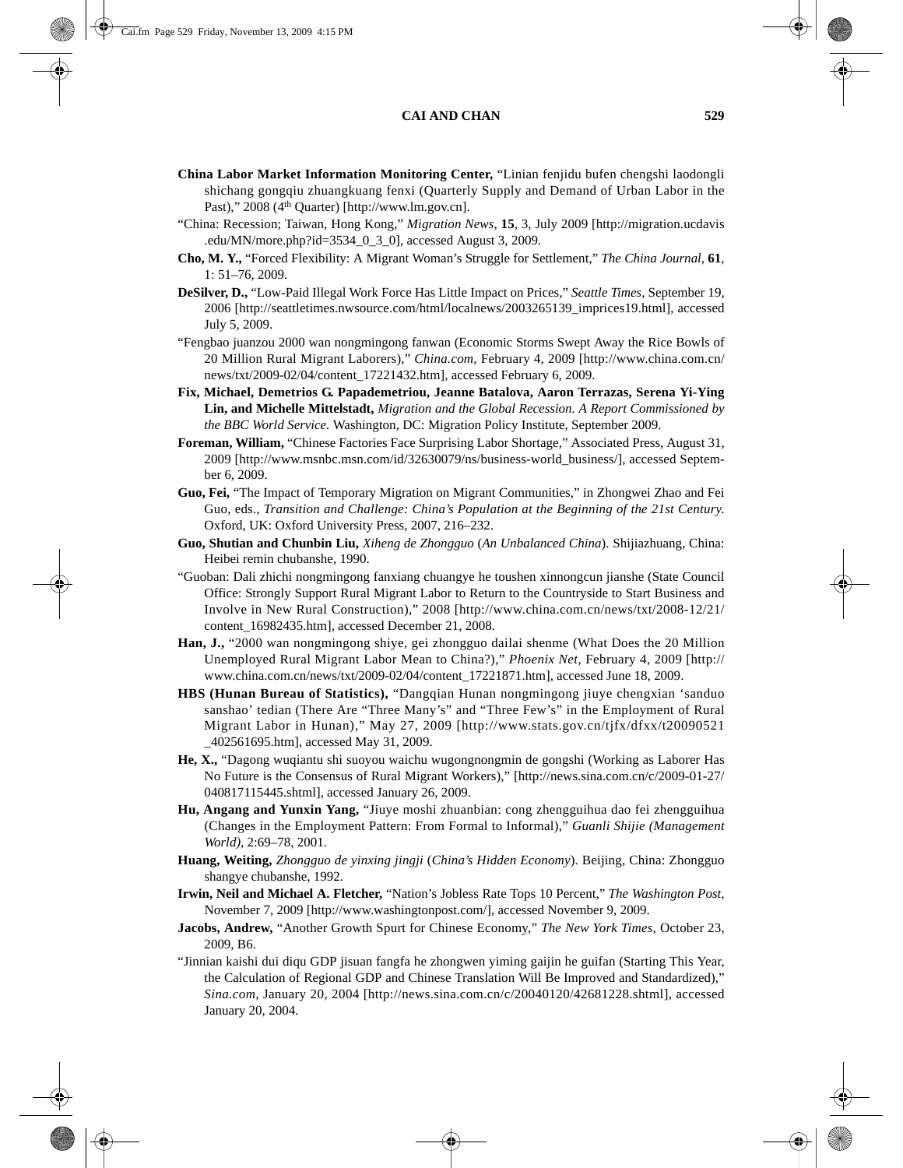- **China Labor Market Information Monitoring Center,** "Linian fenjidu bufen chengshi laodongli shichang gongqiu zhuangkuang fenxi (Quarterly Supply and Demand of Urban Labor in the Past)," 2008 (4th Quarter) [http://www.lm.gov.cn].
- "China: Recession; Taiwan, Hong Kong," *Migration News*, **15**, 3, July 2009 [http://migration.ucdavis .edu/MN/more.php?id=3534\_0\_3\_0], accessed August 3, 2009.
- **Cho, M. Y.,** "Forced Flexibility: A Migrant Woman's Struggle for Settlement," *The China Journal,* **61**, 1: 51–76, 2009.
- **DeSilver, D.,** "Low-Paid Illegal Work Force Has Little Impact on Prices," *Seattle Times,* September 19, 2006 [http://seattletimes.nwsource.com/html/localnews/2003265139\_imprices19.html], accessed July 5, 2009.
- "Fengbao juanzou 2000 wan nongmingong fanwan (Economic Storms Swept Away the Rice Bowls of 20 Million Rural Migrant Laborers)," *China.com,* February 4, 2009 [http://www.china.com.cn/ news/txt/2009-02/04/content\_17221432.htm], accessed February 6, 2009.
- **Fix, Michael, Demetrios G. Papademetriou, Jeanne Batalova, Aaron Terrazas, Serena Yi-Ying Lin, and Michelle Mittelstadt,** *Migration and the Global Recession. A Report Commissioned by the BBC World Service.* Washington, DC: Migration Policy Institute, September 2009.
- **Foreman, William,** "Chinese Factories Face Surprising Labor Shortage," Associated Press, August 31, 2009 [http://www.msnbc.msn.com/id/32630079/ns/business-world\_business/], accessed September 6, 2009.
- **Guo, Fei,** "The Impact of Temporary Migration on Migrant Communities," in Zhongwei Zhao and Fei Guo, eds., *Transition and Challenge: China's Population at the Beginning of the 21st Century*. Oxford, UK: Oxford University Press, 2007, 216–232.
- **Guo, Shutian and Chunbin Liu,** *Xiheng de Zhongguo* (*An Unbalanced China*). Shijiazhuang, China: Heibei remin chubanshe, 1990.
- "Guoban: Dali zhichi nongmingong fanxiang chuangye he toushen xinnongcun jianshe (State Council Office: Strongly Support Rural Migrant Labor to Return to the Countryside to Start Business and Involve in New Rural Construction)," 2008 [http://www.china.com.cn/news/txt/2008-12/21/ content\_16982435.htm], accessed December 21, 2008.
- **Han, J.,** "2000 wan nongmingong shiye, gei zhongguo dailai shenme (What Does the 20 Million Unemployed Rural Migrant Labor Mean to China?)," *Phoenix Net*, February 4, 2009 [http:// www.china.com.cn/news/txt/2009-02/04/content\_17221871.htm], accessed June 18, 2009.
- **HBS (Hunan Bureau of Statistics),** "Dangqian Hunan nongmingong jiuye chengxian 'sanduo sanshao' tedian (There Are "Three Many's" and "Three Few's" in the Employment of Rural Migrant Labor in Hunan)," May 27, 2009 [http://www.stats.gov.cn/tjfx/dfxx/t20090521 \_402561695.htm], accessed May 31, 2009.
- **He, X.,** "Dagong wuqiantu shi suoyou waichu wugongnongmin de gongshi (Working as Laborer Has No Future is the Consensus of Rural Migrant Workers)," [http://news.sina.com.cn/c/2009-01-27/ 040817115445.shtml], accessed January 26, 2009.
- **Hu, Angang and Yunxin Yang,** "Jiuye moshi zhuanbian: cong zhengguihua dao fei zhengguihua (Changes in the Employment Pattern: From Formal to Informal)," *Guanli Shijie (Management World),* 2:69–78, 2001.
- **Huang, Weiting,** *Zhongguo de yinxing jingji* (*China's Hidden Economy*). Beijing, China: Zhongguo shangye chubanshe, 1992.
- **Irwin, Neil and Michael A. Fletcher,** "Nation's Jobless Rate Tops 10 Percent," *The Washington Post*, November 7, 2009 [http://www.washingtonpost.com/], accessed November 9, 2009.
- **Jacobs, Andrew,** "Another Growth Spurt for Chinese Economy," *The New York Times*, October 23, 2009, B6.
- "Jinnian kaishi dui diqu GDP jisuan fangfa he zhongwen yiming gaijin he guifan (Starting This Year, the Calculation of Regional GDP and Chinese Translation Will Be Improved and Standardized)," *Sina.com,* January 20, 2004 [http://news.sina.com.cn/c/20040120/42681228.shtml], accessed January 20, 2004.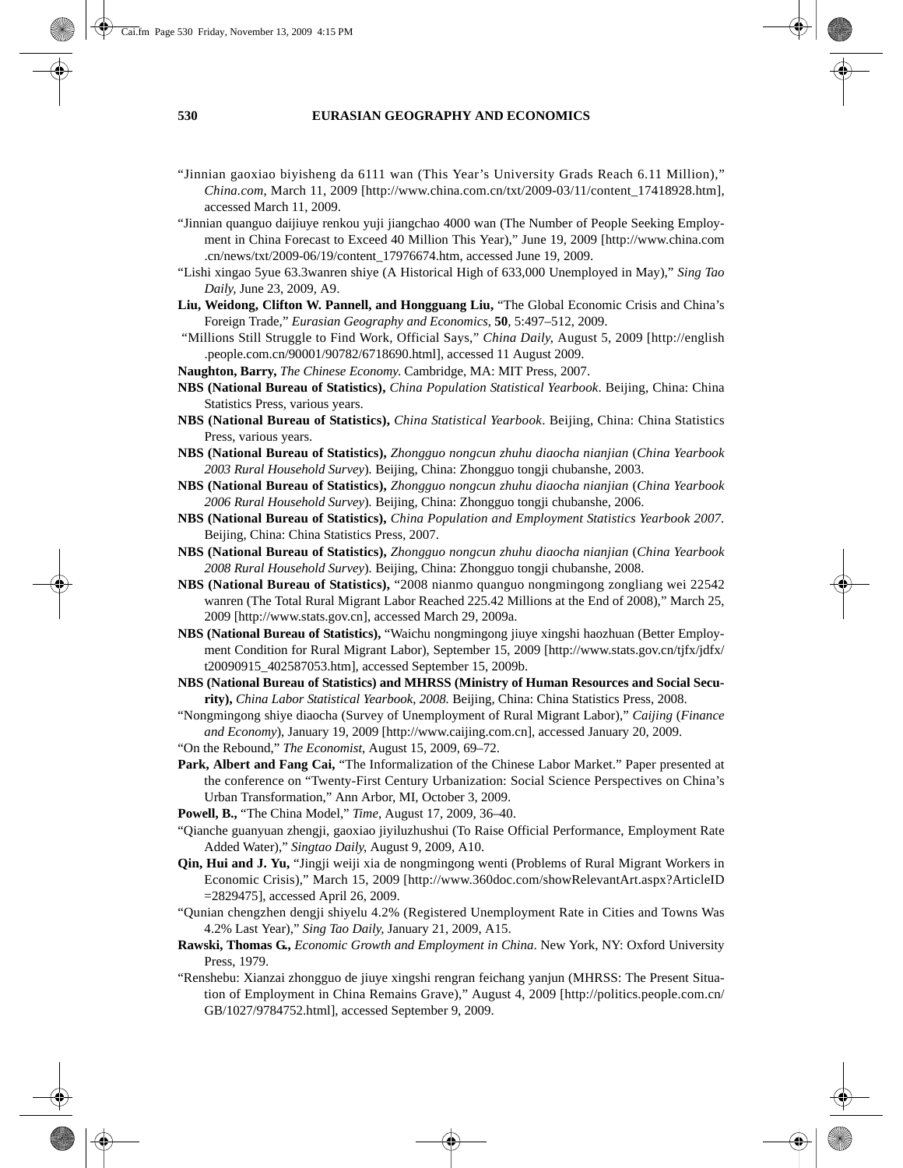- "Jinnian gaoxiao biyisheng da 6111 wan (This Year's University Grads Reach 6.11 Million)," *China.com*, March 11, 2009 [http://www.china.com.cn/txt/2009-03/11/content\_17418928.htm], accessed March 11, 2009.
- "Jinnian quanguo daijiuye renkou yuji jiangchao 4000 wan (The Number of People Seeking Employment in China Forecast to Exceed 40 Million This Year)," June 19, 2009 [http://www.china.com .cn/news/txt/2009-06/19/content\_17976674.htm, accessed June 19, 2009.
- "Lishi xingao 5yue 63.3wanren shiye (A Historical High of 633,000 Unemployed in May)," *Sing Tao Daily,* June 23, 2009, A9.
- **Liu, Weidong, Clifton W. Pannell, and Hongguang Liu,** "The Global Economic Crisis and China's Foreign Trade," *Eurasian Geography and Economics*, **50**, 5:497–512, 2009.
- "Millions Still Struggle to Find Work, Official Says," *China Daily*, August 5, 2009 [http://english .people.com.cn/90001/90782/6718690.html], accessed 11 August 2009.
- **Naughton, Barry,** *The Chinese Economy*. Cambridge, MA: MIT Press, 2007.
- **NBS (National Bureau of Statistics),** *China Population Statistical Yearbook*. Beijing, China: China Statistics Press, various years.
- **NBS (National Bureau of Statistics),** *China Statistical Yearbook*. Beijing, China: China Statistics Press, various years.
- **NBS (National Bureau of Statistics),** *Zhongguo nongcun zhuhu diaocha nianjian* (*China Yearbook 2003 Rural Household Survey*)*.* Beijing, China: Zhongguo tongji chubanshe, 2003.
- **NBS (National Bureau of Statistics),** *Zhongguo nongcun zhuhu diaocha nianjian* (*China Yearbook 2006 Rural Household Survey*)*.* Beijing, China: Zhongguo tongji chubanshe, 2006.
- **NBS (National Bureau of Statistics),** *China Population and Employment Statistics Yearbook 2007.* Beijing, China: China Statistics Press, 2007.
- **NBS (National Bureau of Statistics),** *Zhongguo nongcun zhuhu diaocha nianjian* (*China Yearbook 2008 Rural Household Survey*)*.* Beijing, China: Zhongguo tongji chubanshe, 2008.
- **NBS (National Bureau of Statistics),** "2008 nianmo quanguo nongmingong zongliang wei 22542 wanren (The Total Rural Migrant Labor Reached 225.42 Millions at the End of 2008)," March 25, 2009 [http://www.stats.gov.cn], accessed March 29, 2009a.
- **NBS (National Bureau of Statistics),** "Waichu nongmingong jiuye xingshi haozhuan (Better Employment Condition for Rural Migrant Labor), September 15, 2009 [http://www.stats.gov.cn/tjfx/jdfx/ t20090915\_402587053.htm], accessed September 15, 2009b.
- **NBS (National Bureau of Statistics) and MHRSS (Ministry of Human Resources and Social Security),** *China Labor Statistical Yearbook*, *2008.* Beijing, China: China Statistics Press, 2008.
- "Nongmingong shiye diaocha (Survey of Unemployment of Rural Migrant Labor)," *Caijing* (*Finance and Economy*), January 19, 2009 [http://www.caijing.com.cn], accessed January 20, 2009.
- "On the Rebound," *The Economist*, August 15, 2009, 69–72.
- Park, Albert and Fang Cai, "The Informalization of the Chinese Labor Market." Paper presented at the conference on "Twenty-First Century Urbanization: Social Science Perspectives on China's Urban Transformation," Ann Arbor, MI, October 3, 2009.
- **Powell, B.,** "The China Model," *Time*, August 17, 2009, 36–40.
- "Qianche guanyuan zhengji, gaoxiao jiyiluzhushui (To Raise Official Performance, Employment Rate Added Water)," *Singtao Daily*, August 9, 2009, A10.
- **Qin, Hui and J. Yu,** "Jingji weiji xia de nongmingong wenti (Problems of Rural Migrant Workers in Economic Crisis)," March 15, 2009 [http://www.360doc.com/showRelevantArt.aspx?ArticleID =2829475], accessed April 26, 2009.
- "Qunian chengzhen dengji shiyelu 4.2% (Registered Unemployment Rate in Cities and Towns Was 4.2% Last Year)," *Sing Tao Daily,* January 21, 2009, A15.
- **Rawski, Thomas G.,** *Economic Growth and Employment in China*. New York, NY: Oxford University Press, 1979.
- "Renshebu: Xianzai zhongguo de jiuye xingshi rengran feichang yanjun (MHRSS: The Present Situation of Employment in China Remains Grave)," August 4, 2009 [http://politics.people.com.cn/ GB/1027/9784752.html], accessed September 9, 2009.